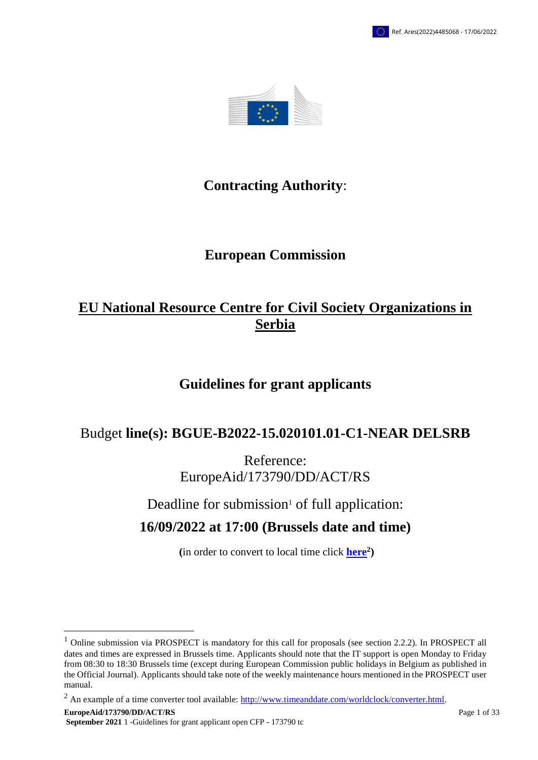

# **Contracting Authority**:

# **European Commission**

# **EU National Resource Centre for Civil Society Organizations in Serbia**

# **Guidelines for grant applicants**

# Budget **line(s): BGUE-B2022-15.020101.01-C1-NEAR DELSRB**

Reference: EuropeAid/173790/DD/ACT/RS

Deadline for submission $1$  of full application:

# **16/09/2022 at 17:00 (Brussels date and time)**

**(**in order to convert to local time click **[here](http://www.timeanddate.com/worldclock/converter.html)<sup>2</sup> )**

 $2$  An example of a time converter tool available:  $\frac{http://www.timeanddate.com/worldclock/converter.html}$ .

 $\overline{a}$ 

<sup>&</sup>lt;sup>1</sup> Online submission via PROSPECT is mandatory for this call for proposals (see section 2.2.2). In PROSPECT all dates and times are expressed in Brussels time. Applicants should note that the IT support is open Monday to Friday from 08:30 to 18:30 Brussels time (except during European Commission public holidays in Belgium as published in the Official Journal). Applicants should take note of the weekly maintenance hours mentioned in the PROSPECT user manual.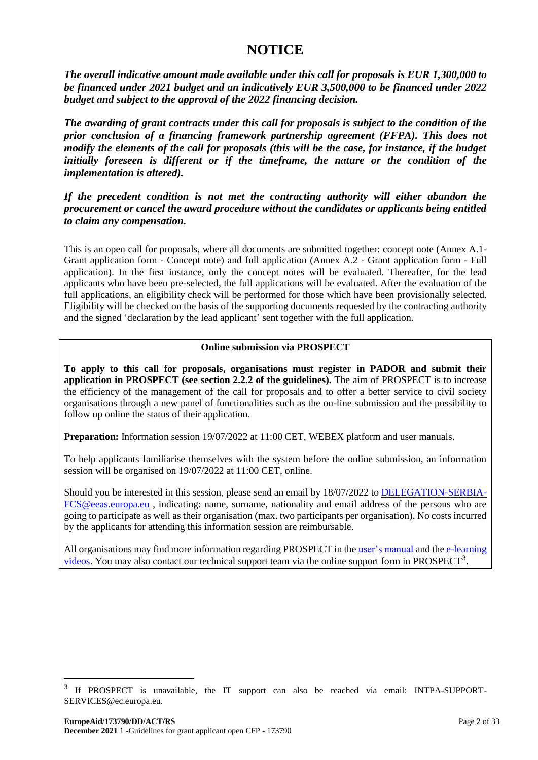# **NOTICE**

*The overall indicative amount made available under this call for proposals is EUR 1,300,000 to be financed under 2021 budget and an indicatively EUR 3,500,000 to be financed under 2022 budget and subject to the approval of the 2022 financing decision.*

*The awarding of grant contracts under this call for proposals is subject to the condition of the prior conclusion of a financing framework partnership agreement (FFPA). This does not modify the elements of the call for proposals (this will be the case, for instance, if the budget initially foreseen is different or if the timeframe, the nature or the condition of the implementation is altered).* 

*If the precedent condition is not met the contracting authority will either abandon the procurement or cancel the award procedure without the candidates or applicants being entitled to claim any compensation.*

This is an open call for proposals, where all documents are submitted together: concept note (Annex A.1- Grant application form - Concept note) and full application (Annex A.2 - Grant application form - Full application). In the first instance, only the concept notes will be evaluated. Thereafter, for the lead applicants who have been pre-selected, the full applications will be evaluated. After the evaluation of the full applications, an eligibility check will be performed for those which have been provisionally selected. Eligibility will be checked on the basis of the supporting documents requested by the contracting authority and the signed 'declaration by the lead applicant' sent together with the full application.

# **Online submission via PROSPECT**

**To apply to this call for proposals, organisations must register in PADOR and submit their application in PROSPECT (see section 2.2.2 of the guidelines).** The aim of PROSPECT is to increase the efficiency of the management of the call for proposals and to offer a better service to civil society organisations through a new panel of functionalities such as the on-line submission and the possibility to follow up online the status of their application.

**Preparation:** Information session 19/07/2022 at 11:00 CET, WEBEX platform and user manuals.

To help applicants familiarise themselves with the system before the online submission, an information session will be organised on 19/07/2022 at 11:00 CET, online.

Should you be interested in this session, please send an email by 18/07/2022 to [DELEGATION-SERBIA-](mailto:DELEGATION-SERBIA-FCS@eeas.europa.eu)[FCS@eeas.europa.eu](mailto:DELEGATION-SERBIA-FCS@eeas.europa.eu) , indicating: name, surname, nationality and email address of the persons who are going to participate as well as their organisation (max. two participants per organisation). No costs incurred by the applicants for attending this information session are reimbursable.

All organisations may find more information regarding PROSPECT in th[e user's manual](https://webgate.ec.europa.eu/fpfis/wikis/display/ExactExternalWiki/Manual+for+Applicants+-+e-Calls+PROSPECT) and the [e-learning](https://webgate.ec.europa.eu/fpfis/wikis/display/ExactExternalWiki/e-Learning+Videos+-+e-Calls+PROPECT)   $vi$ deos. You may also contact our technical support team via the online support form in PROSPECT<sup>3</sup>.

 $\overline{a}$ 

<sup>3</sup> If PROSPECT is unavailable, the IT support can also be reached via email: INTPA-SUPPORT-SERVICES@ec.europa.eu.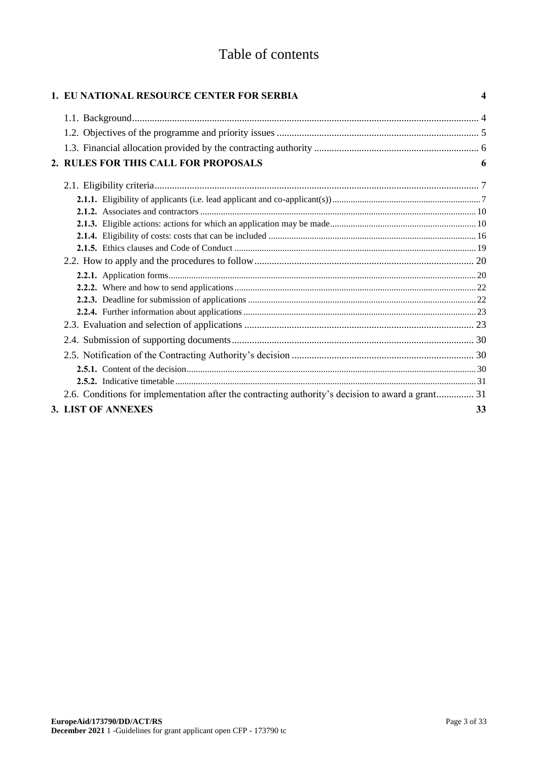# Table of contents

| 1. EU NATIONAL RESOURCE CENTER FOR SERBIA                                                         | 4  |
|---------------------------------------------------------------------------------------------------|----|
|                                                                                                   |    |
|                                                                                                   |    |
|                                                                                                   |    |
| 2. RULES FOR THIS CALL FOR PROPOSALS                                                              | 6  |
|                                                                                                   |    |
|                                                                                                   |    |
|                                                                                                   |    |
|                                                                                                   |    |
|                                                                                                   |    |
|                                                                                                   |    |
|                                                                                                   |    |
|                                                                                                   |    |
|                                                                                                   |    |
|                                                                                                   |    |
|                                                                                                   |    |
|                                                                                                   |    |
|                                                                                                   |    |
|                                                                                                   |    |
|                                                                                                   |    |
|                                                                                                   |    |
| 2.6. Conditions for implementation after the contracting authority's decision to award a grant 31 |    |
| 3. LIST OF ANNEXES                                                                                | 33 |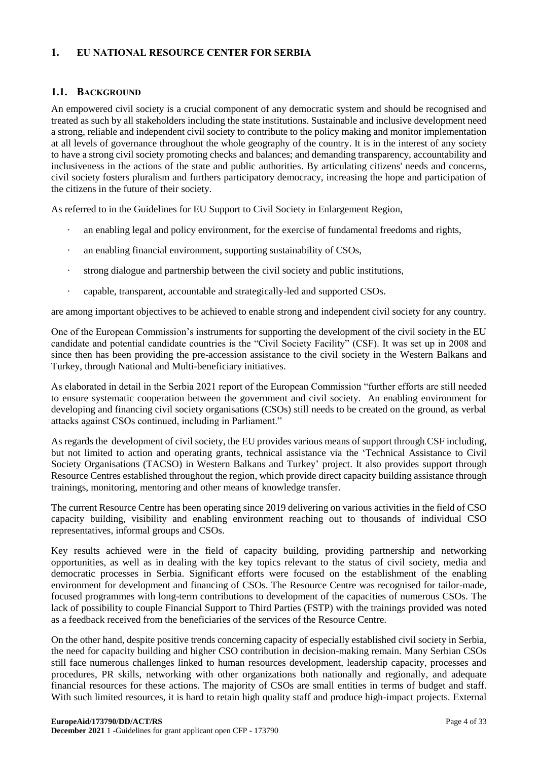# <span id="page-3-0"></span>**1. EU NATIONAL RESOURCE CENTER FOR SERBIA**

### <span id="page-3-1"></span>**1.1. BACKGROUND**

An empowered civil society is a crucial component of any democratic system and should be recognised and treated as such by all stakeholders including the state institutions. Sustainable and inclusive development need a strong, reliable and independent civil society to contribute to the policy making and monitor implementation at all levels of governance throughout the whole geography of the country. It is in the interest of any society to have a strong civil society promoting checks and balances; and demanding transparency, accountability and inclusiveness in the actions of the state and public authorities. By articulating citizens' needs and concerns, civil society fosters pluralism and furthers participatory democracy, increasing the hope and participation of the citizens in the future of their society.

As referred to in the Guidelines for EU Support to Civil Society in Enlargement Region,

- · an enabling legal and policy environment, for the exercise of fundamental freedoms and rights,
- an enabling financial environment, supporting sustainability of CSOs,
- strong dialogue and partnership between the civil society and public institutions,
- · capable, transparent, accountable and strategically-led and supported CSOs.

are among important objectives to be achieved to enable strong and independent civil society for any country.

One of the European Commission's instruments for supporting the development of the civil society in the EU candidate and potential candidate countries is the "Civil Society Facility" (CSF). It was set up in 2008 and since then has been providing the pre-accession assistance to the civil society in the Western Balkans and Turkey, through National and Multi-beneficiary initiatives.

As elaborated in detail in the Serbia 2021 report of the European Commission "further efforts are still needed to ensure systematic cooperation between the government and civil society. An enabling environment for developing and financing civil society organisations (CSOs) still needs to be created on the ground, as verbal attacks against CSOs continued, including in Parliament."

As regards the development of civil society, the EU provides various means of support through CSF including, but not limited to action and operating grants, technical assistance via the 'Technical Assistance to Civil Society Organisations (TACSO) in Western Balkans and Turkey' project. It also provides support through Resource Centres established throughout the region, which provide direct capacity building assistance through trainings, monitoring, mentoring and other means of knowledge transfer.

The current Resource Centre has been operating since 2019 delivering on various activities in the field of CSO capacity building, visibility and enabling environment reaching out to thousands of individual CSO representatives, informal groups and CSOs.

Key results achieved were in the field of capacity building, providing partnership and networking opportunities, as well as in dealing with the key topics relevant to the status of civil society, media and democratic processes in Serbia. Significant efforts were focused on the establishment of the enabling environment for development and financing of CSOs. The Resource Centre was recognised for tailor-made, focused programmes with long-term contributions to development of the capacities of numerous CSOs. The lack of possibility to couple Financial Support to Third Parties (FSTP) with the trainings provided was noted as a feedback received from the beneficiaries of the services of the Resource Centre.

On the other hand, despite positive trends concerning capacity of especially established civil society in Serbia, the need for capacity building and higher CSO contribution in decision-making remain. Many Serbian CSOs still face numerous challenges linked to human resources development, leadership capacity, processes and procedures, PR skills, networking with other organizations both nationally and regionally, and adequate financial resources for these actions. The majority of CSOs are small entities in terms of budget and staff. With such limited resources, it is hard to retain high quality staff and produce high-impact projects. External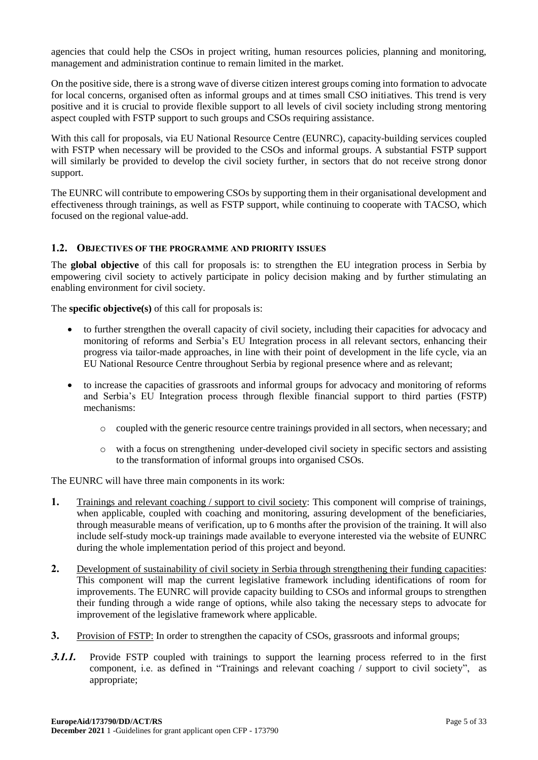agencies that could help the CSOs in project writing, human resources policies, planning and monitoring, management and administration continue to remain limited in the market.

On the positive side, there is a strong wave of diverse citizen interest groups coming into formation to advocate for local concerns, organised often as informal groups and at times small CSO initiatives. This trend is very positive and it is crucial to provide flexible support to all levels of civil society including strong mentoring aspect coupled with FSTP support to such groups and CSOs requiring assistance.

With this call for proposals, via EU National Resource Centre (EUNRC), capacity-building services coupled with FSTP when necessary will be provided to the CSOs and informal groups. A substantial FSTP support will similarly be provided to develop the civil society further, in sectors that do not receive strong donor support.

The EUNRC will contribute to empowering CSOs by supporting them in their organisational development and effectiveness through trainings, as well as FSTP support, while continuing to cooperate with TACSO, which focused on the regional value-add.

# <span id="page-4-0"></span>**1.2. OBJECTIVES OF THE PROGRAMME AND PRIORITY ISSUES**

The **global objective** of this call for proposals is: to strengthen the EU integration process in Serbia by empowering civil society to actively participate in policy decision making and by further stimulating an enabling environment for civil society.

The **specific objective(s)** of this call for proposals is:

- to further strengthen the overall capacity of civil society, including their capacities for advocacy and monitoring of reforms and Serbia's EU Integration process in all relevant sectors, enhancing their progress via tailor-made approaches, in line with their point of development in the life cycle, via an EU National Resource Centre throughout Serbia by regional presence where and as relevant;
- to increase the capacities of grassroots and informal groups for advocacy and monitoring of reforms and Serbia's EU Integration process through flexible financial support to third parties (FSTP) mechanisms:
	- o coupled with the generic resource centre trainings provided in all sectors, when necessary; and
	- o with a focus on strengthening under-developed civil society in specific sectors and assisting to the transformation of informal groups into organised CSOs.

The EUNRC will have three main components in its work:

- **1.** Trainings and relevant coaching / support to civil society: This component will comprise of trainings, when applicable, coupled with coaching and monitoring, assuring development of the beneficiaries, through measurable means of verification, up to 6 months after the provision of the training. It will also include self-study mock-up trainings made available to everyone interested via the website of EUNRC during the whole implementation period of this project and beyond.
- **2.** Development of sustainability of civil society in Serbia through strengthening their funding capacities: This component will map the current legislative framework including identifications of room for improvements. The EUNRC will provide capacity building to CSOs and informal groups to strengthen their funding through a wide range of options, while also taking the necessary steps to advocate for improvement of the legislative framework where applicable.
- **3.** Provision of FSTP: In order to strengthen the capacity of CSOs, grassroots and informal groups;
- **3.1.1.** Provide FSTP coupled with trainings to support the learning process referred to in the first component, i.e. as defined in "Trainings and relevant coaching / support to civil society", as appropriate;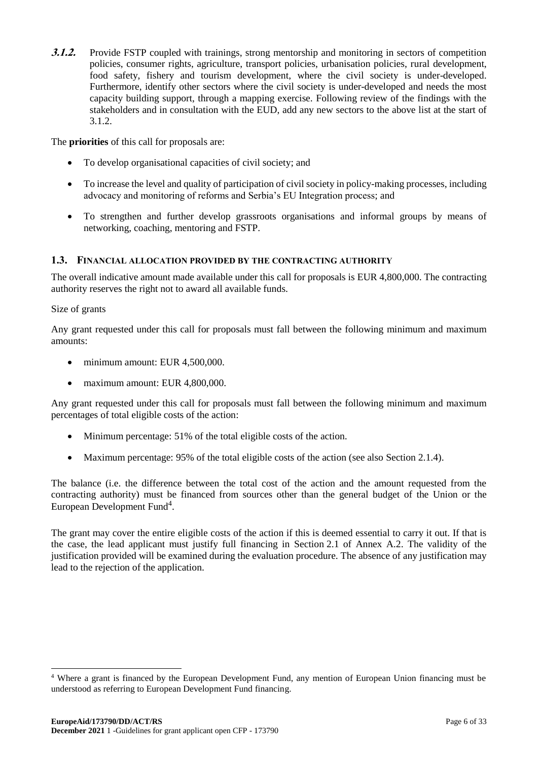**3.1.2.** Provide FSTP coupled with trainings, strong mentorship and monitoring in sectors of competition policies, consumer rights, agriculture, transport policies, urbanisation policies, rural development, food safety, fishery and tourism development, where the civil society is under-developed. Furthermore, identify other sectors where the civil society is under-developed and needs the most capacity building support, through a mapping exercise. Following review of the findings with the stakeholders and in consultation with the EUD, add any new sectors to the above list at the start of 3.1.2.

The **priorities** of this call for proposals are:

- To develop organisational capacities of civil society; and
- To increase the level and quality of participation of civil society in policy-making processes, including advocacy and monitoring of reforms and Serbia's EU Integration process; and
- To strengthen and further develop grassroots organisations and informal groups by means of networking, coaching, mentoring and FSTP.

### <span id="page-5-0"></span>**1.3. FINANCIAL ALLOCATION PROVIDED BY THE CONTRACTING AUTHORITY**

The overall indicative amount made available under this call for proposals is EUR 4,800,000. The contracting authority reserves the right not to award all available funds.

#### Size of grants

1

Any grant requested under this call for proposals must fall between the following minimum and maximum amounts:

- minimum amount: EUR 4,500,000.
- maximum amount: EUR 4,800,000.

Any grant requested under this call for proposals must fall between the following minimum and maximum percentages of total eligible costs of the action:

- Minimum percentage: 51% of the total eligible costs of the action.
- Maximum percentage: 95% of the total eligible costs of the action (see also Section 2.1.4).

The balance (i.e. the difference between the total cost of the action and the amount requested from the contracting authority) must be financed from sources other than the general budget of the Union or the European Development Fund<sup>4</sup>.

The grant may cover the entire eligible costs of the action if this is deemed essential to carry it out. If that is the case, the lead applicant must justify full financing in Section 2.1 of Annex A.2. The validity of the justification provided will be examined during the evaluation procedure. The absence of any justification may lead to the rejection of the application.

<sup>4</sup> Where a grant is financed by the European Development Fund, any mention of European Union financing must be understood as referring to European Development Fund financing.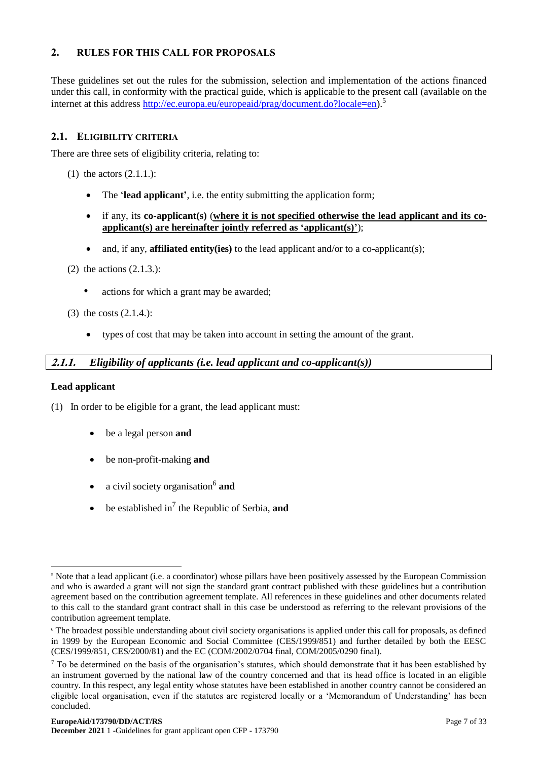# <span id="page-6-0"></span>**2. RULES FOR THIS CALL FOR PROPOSALS**

These guidelines set out the rules for the submission, selection and implementation of the actions financed under this call, in conformity with the practical guide, which is applicable to the present call (available on the internet at this address [http://ec.europa.eu/europeaid/prag/document.do?locale=en\)](http://ec.europa.eu/europeaid/prag/document.do?locale=en).<sup>5</sup>

# <span id="page-6-1"></span>**2.1. ELIGIBILITY CRITERIA**

There are three sets of eligibility criteria, relating to:

- (1) the actors  $(2.1.1.)$ :
	- The '**lead applicant'**, i.e. the entity submitting the application form;
	- if any, its **co-applicant(s)** (**where it is not specified otherwise the lead applicant and its coapplicant(s) are hereinafter jointly referred as 'applicant(s)'**);
	- and, if any, **affiliated entity(ies)** to the lead applicant and/or to a co-applicant(s);
- (2) the actions (2.1.3.):
	- actions for which a grant may be awarded:
- (3) the costs (2.1.4.):
	- types of cost that may be taken into account in setting the amount of the grant.

# <span id="page-6-2"></span>**2.1.1.** *Eligibility of applicants (i.e. lead applicant and co-applicant(s))*

#### **Lead applicant**

(1) In order to be eligible for a grant, the lead applicant must:

- be a legal person **and**
- be non-profit-making **and**
- a civil society organisation<sup>6</sup> and
- $\bullet$  be established in<sup>7</sup> the Republic of Serbia, **and**

<sup>1</sup> <sup>5</sup> Note that a lead applicant (i.e. a coordinator) whose pillars have been positively assessed by the European Commission and who is awarded a grant will not sign the standard grant contract published with these guidelines but a contribution agreement based on the contribution agreement template. All references in these guidelines and other documents related to this call to the standard grant contract shall in this case be understood as referring to the relevant provisions of the contribution agreement template.

<sup>6</sup> The broadest possible understanding about civil society organisations is applied under this call for proposals, as defined in 1999 by the European Economic and Social Committee (CES/1999/851) and further detailed by both the EESC (CES/1999/851, CES/2000/81) and the EC (COM/2002/0704 final, COM/2005/0290 final).

 $<sup>7</sup>$  To be determined on the basis of the organisation's statutes, which should demonstrate that it has been established by</sup> an instrument governed by the national law of the country concerned and that its head office is located in an eligible country. In this respect, any legal entity whose statutes have been established in another country cannot be considered an eligible local organisation, even if the statutes are registered locally or a 'Memorandum of Understanding' has been concluded.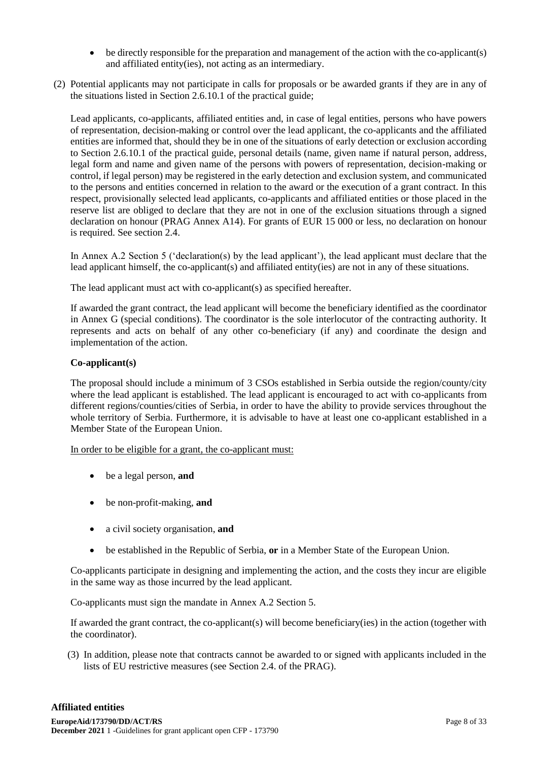- be directly responsible for the preparation and management of the action with the co-applicant(s) and affiliated entity(ies), not acting as an intermediary.
- (2) Potential applicants may not participate in calls for proposals or be awarded grants if they are in any of the situations listed in Section 2.6.10.1 of the practical guide;

Lead applicants, co-applicants, affiliated entities and, in case of legal entities, persons who have powers of representation, decision-making or control over the lead applicant, the co-applicants and the affiliated entities are informed that, should they be in one of the situations of early detection or exclusion according to Section 2.6.10.1 of the practical guide, personal details (name, given name if natural person, address, legal form and name and given name of the persons with powers of representation, decision-making or control, if legal person) may be registered in the early detection and exclusion system, and communicated to the persons and entities concerned in relation to the award or the execution of a grant contract. In this respect, provisionally selected lead applicants, co-applicants and affiliated entities or those placed in the reserve list are obliged to declare that they are not in one of the exclusion situations through a signed declaration on honour (PRAG Annex A14). For grants of EUR 15 000 or less, no declaration on honour is required. See section 2.4.

In Annex A.2 Section 5 ('declaration(s) by the lead applicant'), the lead applicant must declare that the lead applicant himself, the co-applicant(s) and affiliated entity(ies) are not in any of these situations.

The lead applicant must act with co-applicant(s) as specified hereafter.

If awarded the grant contract, the lead applicant will become the beneficiary identified as the coordinator in Annex G (special conditions). The coordinator is the sole interlocutor of the contracting authority. It represents and acts on behalf of any other co-beneficiary (if any) and coordinate the design and implementation of the action.

### **Co-applicant(s)**

The proposal should include a minimum of 3 CSOs established in Serbia outside the region/county/city where the lead applicant is established. The lead applicant is encouraged to act with co-applicants from different regions/counties/cities of Serbia, in order to have the ability to provide services throughout the whole territory of Serbia. Furthermore, it is advisable to have at least one co-applicant established in a Member State of the European Union.

In order to be eligible for a grant, the co-applicant must:

- be a legal person, **and**
- be non-profit-making, **and**
- a civil society organisation, **and**
- be established in the Republic of Serbia, **or** in a Member State of the European Union.

Co-applicants participate in designing and implementing the action, and the costs they incur are eligible in the same way as those incurred by the lead applicant.

Co-applicants must sign the mandate in Annex A.2 Section 5.

If awarded the grant contract, the co-applicant(s) will become beneficiary(ies) in the action (together with the coordinator).

(3) In addition, please note that contracts cannot be awarded to or signed with applicants included in the lists of EU restrictive measures (see Section 2.4. of the PRAG).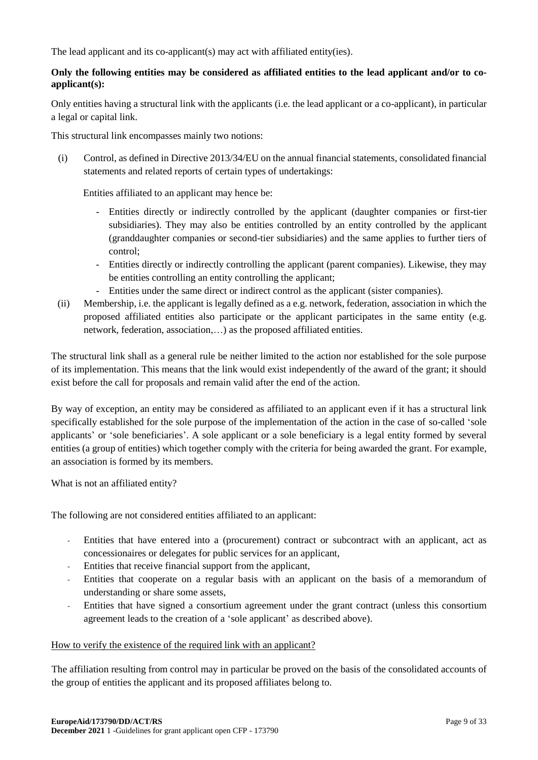The lead applicant and its co-applicant(s) may act with affiliated entity(ies).

# **Only the following entities may be considered as affiliated entities to the lead applicant and/or to coapplicant(s):**

Only entities having a structural link with the applicants (i.e. the lead applicant or a co-applicant), in particular a legal or capital link.

This structural link encompasses mainly two notions:

(i) Control, as defined in Directive 2013/34/EU on the annual financial statements, consolidated financial statements and related reports of certain types of undertakings:

Entities affiliated to an applicant may hence be:

- Entities directly or indirectly controlled by the applicant (daughter companies or first-tier subsidiaries). They may also be entities controlled by an entity controlled by the applicant (granddaughter companies or second-tier subsidiaries) and the same applies to further tiers of control;
- Entities directly or indirectly controlling the applicant (parent companies). Likewise, they may be entities controlling an entity controlling the applicant;
- Entities under the same direct or indirect control as the applicant (sister companies).
- (ii) Membership, i.e. the applicant is legally defined as a e.g. network, federation, association in which the proposed affiliated entities also participate or the applicant participates in the same entity (e.g. network, federation, association,…) as the proposed affiliated entities.

The structural link shall as a general rule be neither limited to the action nor established for the sole purpose of its implementation. This means that the link would exist independently of the award of the grant; it should exist before the call for proposals and remain valid after the end of the action.

By way of exception, an entity may be considered as affiliated to an applicant even if it has a structural link specifically established for the sole purpose of the implementation of the action in the case of so-called 'sole applicants' or 'sole beneficiaries'. A sole applicant or a sole beneficiary is a legal entity formed by several entities (a group of entities) which together comply with the criteria for being awarded the grant. For example, an association is formed by its members.

What is not an affiliated entity?

The following are not considered entities affiliated to an applicant:

- Entities that have entered into a (procurement) contract or subcontract with an applicant, act as concessionaires or delegates for public services for an applicant,
- Entities that receive financial support from the applicant,
- Entities that cooperate on a regular basis with an applicant on the basis of a memorandum of understanding or share some assets,
- Entities that have signed a consortium agreement under the grant contract (unless this consortium agreement leads to the creation of a 'sole applicant' as described above).

#### How to verify the existence of the required link with an applicant?

The affiliation resulting from control may in particular be proved on the basis of the consolidated accounts of the group of entities the applicant and its proposed affiliates belong to.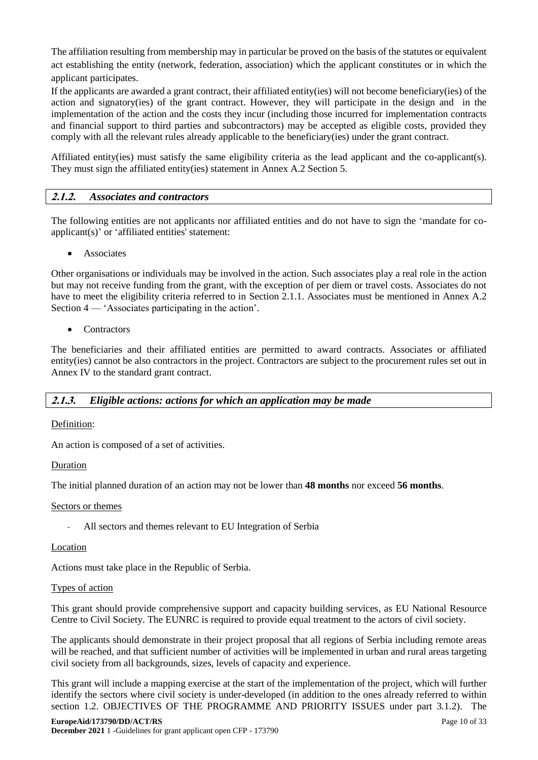The affiliation resulting from membership may in particular be proved on the basis of the statutes or equivalent act establishing the entity (network, federation, association) which the applicant constitutes or in which the applicant participates.

If the applicants are awarded a grant contract, their affiliated entity(ies) will not become beneficiary(ies) of the action and signatory(ies) of the grant contract. However, they will participate in the design and in the implementation of the action and the costs they incur (including those incurred for implementation contracts and financial support to third parties and subcontractors) may be accepted as eligible costs, provided they comply with all the relevant rules already applicable to the beneficiary(ies) under the grant contract.

Affiliated entity(ies) must satisfy the same eligibility criteria as the lead applicant and the co-applicant(s). They must sign the affiliated entity(ies) statement in Annex A.2 Section 5.

# <span id="page-9-0"></span>**2.1.2.** *Associates and contractors*

The following entities are not applicants nor affiliated entities and do not have to sign the 'mandate for coapplicant(s)' or 'affiliated entities' statement:

• Associates

Other organisations or individuals may be involved in the action. Such associates play a real role in the action but may not receive funding from the grant, with the exception of per diem or travel costs. Associates do not have to meet the eligibility criteria referred to in Section 2.1.1. Associates must be mentioned in Annex A.2 Section 4 — 'Associates participating in the action'.

**Contractors** 

The beneficiaries and their affiliated entities are permitted to award contracts. Associates or affiliated entity(ies) cannot be also contractors in the project. Contractors are subject to the procurement rules set out in Annex IV to the standard grant contract.

# <span id="page-9-1"></span>**2.1.3.** *Eligible actions: actions for which an application may be made*

#### Definition:

An action is composed of a set of activities.

#### Duration

The initial planned duration of an action may not be lower than **48 months** nor exceed **56 months**.

#### Sectors or themes

All sectors and themes relevant to EU Integration of Serbia

#### Location

Actions must take place in the Republic of Serbia.

#### Types of action

This grant should provide comprehensive support and capacity building services, as EU National Resource Centre to Civil Society. The EUNRC is required to provide equal treatment to the actors of civil society.

The applicants should demonstrate in their project proposal that all regions of Serbia including remote areas will be reached, and that sufficient number of activities will be implemented in urban and rural areas targeting civil society from all backgrounds, sizes, levels of capacity and experience.

This grant will include a mapping exercise at the start of the implementation of the project, which will further identify the sectors where civil society is under-developed (in addition to the ones already referred to within section 1.2. OBJECTIVES OF THE PROGRAMME AND PRIORITY ISSUES under part 3.1.2). The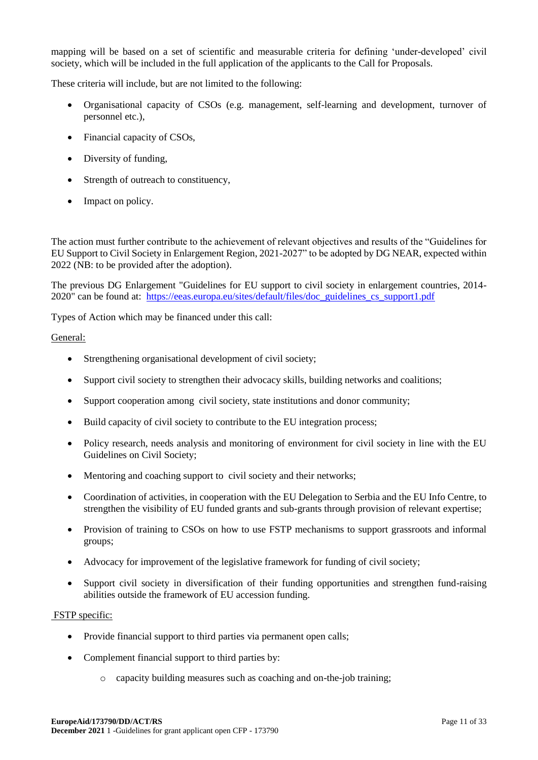mapping will be based on a set of scientific and measurable criteria for defining 'under-developed' civil society, which will be included in the full application of the applicants to the Call for Proposals.

These criteria will include, but are not limited to the following:

- Organisational capacity of CSOs (e.g. management, self-learning and development, turnover of personnel etc.),
- Financial capacity of CSOs,
- Diversity of funding,
- Strength of outreach to constituency,
- Impact on policy.

The action must further contribute to the achievement of relevant objectives and results of the "Guidelines for EU Support to Civil Society in Enlargement Region, 2021-2027" to be adopted by DG NEAR, expected within 2022 (NB: to be provided after the adoption).

The previous DG Enlargement "Guidelines for EU support to civil society in enlargement countries, 2014- 2020" can be found at: [https://eeas.europa.eu/sites/default/files/doc\\_guidelines\\_cs\\_support1.pdf](https://eeas.europa.eu/sites/default/files/doc_guidelines_cs_support1.pdf)

Types of Action which may be financed under this call:

### General:

- Strengthening organisational development of civil society;
- Support civil society to strengthen their advocacy skills, building networks and coalitions;
- Support cooperation among civil society, state institutions and donor community;
- Build capacity of civil society to contribute to the EU integration process;
- Policy research, needs analysis and monitoring of environment for civil society in line with the EU Guidelines on Civil Society;
- Mentoring and coaching support to civil society and their networks;
- Coordination of activities, in cooperation with the EU Delegation to Serbia and the EU Info Centre, to strengthen the visibility of EU funded grants and sub-grants through provision of relevant expertise;
- Provision of training to CSOs on how to use FSTP mechanisms to support grassroots and informal groups;
- Advocacy for improvement of the legislative framework for funding of civil society;
- Support civil society in diversification of their funding opportunities and strengthen fund-raising abilities outside the framework of EU accession funding.

#### FSTP specific:

- Provide financial support to third parties via permanent open calls;
- Complement financial support to third parties by:
	- o capacity building measures such as coaching and on-the-job training;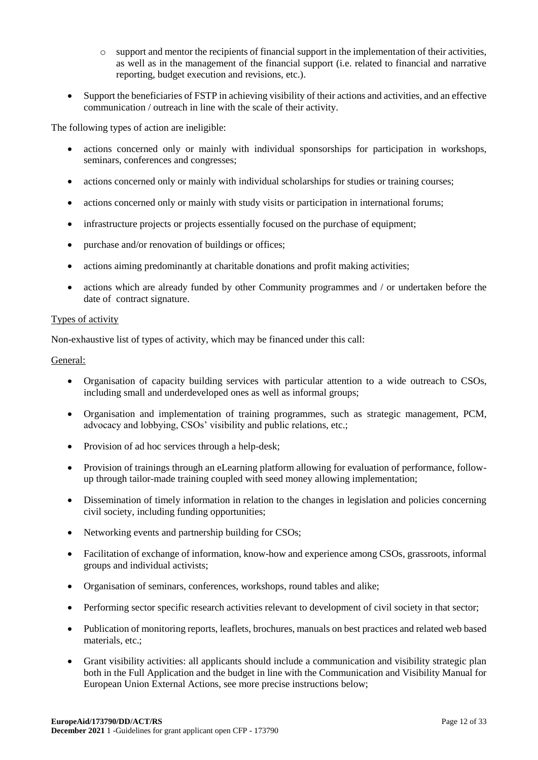- $\circ$  support and mentor the recipients of financial support in the implementation of their activities, as well as in the management of the financial support (i.e. related to financial and narrative reporting, budget execution and revisions, etc.).
- Support the beneficiaries of FSTP in achieving visibility of their actions and activities, and an effective communication / outreach in line with the scale of their activity.

The following types of action are ineligible:

- actions concerned only or mainly with individual sponsorships for participation in workshops, seminars, conferences and congresses;
- actions concerned only or mainly with individual scholarships for studies or training courses;
- actions concerned only or mainly with study visits or participation in international forums;
- infrastructure projects or projects essentially focused on the purchase of equipment;
- purchase and/or renovation of buildings or offices;
- actions aiming predominantly at charitable donations and profit making activities;
- actions which are already funded by other Community programmes and / or undertaken before the date of contract signature.

#### Types of activity

Non-exhaustive list of types of activity, which may be financed under this call:

General:

- Organisation of capacity building services with particular attention to a wide outreach to CSOs, including small and underdeveloped ones as well as informal groups;
- Organisation and implementation of training programmes, such as strategic management, PCM, advocacy and lobbying, CSOs' visibility and public relations, etc.;
- Provision of ad hoc services through a help-desk:
- Provision of trainings through an eLearning platform allowing for evaluation of performance, followup through tailor-made training coupled with seed money allowing implementation;
- Dissemination of timely information in relation to the changes in legislation and policies concerning civil society, including funding opportunities;
- Networking events and partnership building for CSOs;
- Facilitation of exchange of information, know-how and experience among CSOs, grassroots, informal groups and individual activists;
- Organisation of seminars, conferences, workshops, round tables and alike;
- Performing sector specific research activities relevant to development of civil society in that sector;
- Publication of monitoring reports, leaflets, brochures, manuals on best practices and related web based materials, etc.;
- Grant visibility activities: all applicants should include a communication and visibility strategic plan both in the Full Application and the budget in line with the Communication and Visibility Manual for European Union External Actions, see more precise instructions below;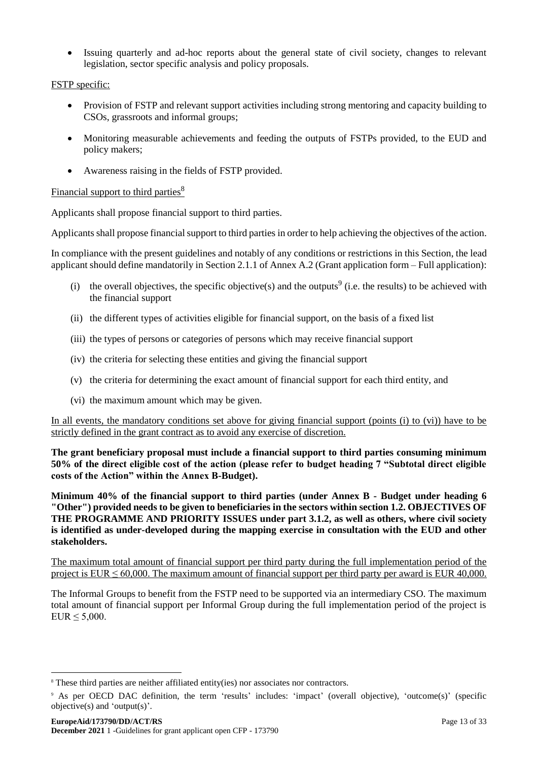Issuing quarterly and ad-hoc reports about the general state of civil society, changes to relevant legislation, sector specific analysis and policy proposals.

FSTP specific:

- Provision of FSTP and relevant support activities including strong mentoring and capacity building to CSOs, grassroots and informal groups;
- Monitoring measurable achievements and feeding the outputs of FSTPs provided, to the EUD and policy makers;
- Awareness raising in the fields of FSTP provided.

# Financial support to third parties<sup>8</sup>

Applicants shall propose financial support to third parties.

Applicants shall propose financial support to third parties in order to help achieving the objectives of the action.

In compliance with the present guidelines and notably of any conditions or restrictions in this Section, the lead applicant should define mandatorily in Section 2.1.1 of Annex A.2 (Grant application form – Full application):

- (i) the overall objectives, the specific objective(s) and the outputs<sup>9</sup> (i.e. the results) to be achieved with the financial support
- (ii) the different types of activities eligible for financial support, on the basis of a fixed list
- (iii) the types of persons or categories of persons which may receive financial support
- (iv) the criteria for selecting these entities and giving the financial support
- (v) the criteria for determining the exact amount of financial support for each third entity, and
- (vi) the maximum amount which may be given.

In all events, the mandatory conditions set above for giving financial support (points (i) to (vi)) have to be strictly defined in the grant contract as to avoid any exercise of discretion.

**The grant beneficiary proposal must include a financial support to third parties consuming minimum 50% of the direct eligible cost of the action (please refer to budget heading 7 "Subtotal direct eligible costs of the Action" within the Annex B-Budget).**

**Minimum 40% of the financial support to third parties (under Annex B - Budget under heading 6 "Other") provided needs to be given to beneficiaries in the sectors within section 1.2. OBJECTIVES OF THE PROGRAMME AND PRIORITY ISSUES under part 3.1.2, as well as others, where civil society is identified as under-developed during the mapping exercise in consultation with the EUD and other stakeholders.** 

The maximum total amount of financial support per third party during the full implementation period of the project is  $EUR \le 60,000$ . The maximum amount of financial support per third party per award is  $EUR$  40,000.

The Informal Groups to benefit from the FSTP need to be supported via an intermediary CSO. The maximum total amount of financial support per Informal Group during the full implementation period of the project is  $EUR \leq 5,000$ .

1

<sup>&</sup>lt;sup>8</sup> These third parties are neither affiliated entity(ies) nor associates nor contractors.

<sup>9</sup> As per OECD DAC definition, the term 'results' includes: 'impact' (overall objective), 'outcome(s)' (specific objective(s) and 'output(s)'.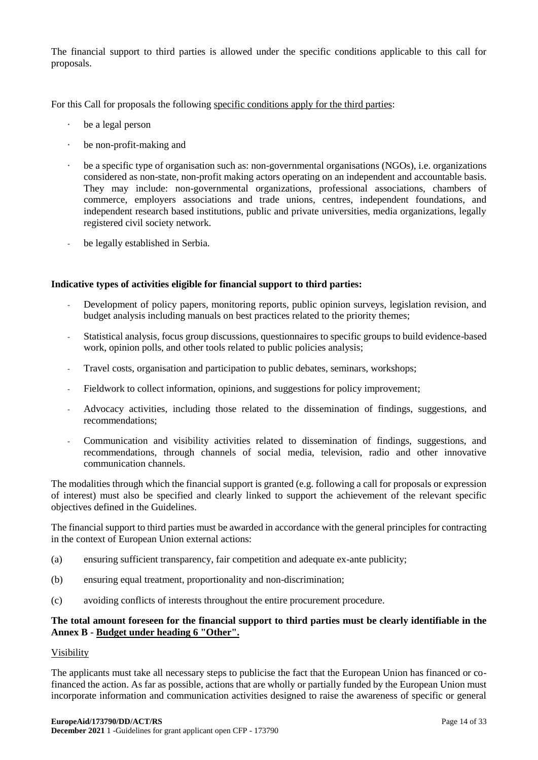The financial support to third parties is allowed under the specific conditions applicable to this call for proposals.

For this Call for proposals the following specific conditions apply for the third parties:

- · be a legal person
- · be non-profit-making and
- be a specific type of organisation such as: non-governmental organisations (NGOs), i.e. organizations considered as non-state, non-profit making actors operating on an independent and accountable basis. They may include: non-governmental organizations, professional associations, chambers of commerce, employers associations and trade unions, centres, independent foundations, and independent research based institutions, public and private universities, media organizations, legally registered civil society network.
- be legally established in Serbia.

#### **Indicative types of activities eligible for financial support to third parties:**

- Development of policy papers, monitoring reports, public opinion surveys, legislation revision, and budget analysis including manuals on best practices related to the priority themes;
- Statistical analysis, focus group discussions, questionnaires to specific groups to build evidence-based work, opinion polls, and other tools related to public policies analysis;
- Travel costs, organisation and participation to public debates, seminars, workshops;
- Fieldwork to collect information, opinions, and suggestions for policy improvement;
- Advocacy activities, including those related to the dissemination of findings, suggestions, and recommendations;
- Communication and visibility activities related to dissemination of findings, suggestions, and recommendations, through channels of social media, television, radio and other innovative communication channels.

The modalities through which the financial support is granted (e.g. following a call for proposals or expression of interest) must also be specified and clearly linked to support the achievement of the relevant specific objectives defined in the Guidelines.

The financial support to third parties must be awarded in accordance with the general principles for contracting in the context of European Union external actions:

- (a) ensuring sufficient transparency, fair competition and adequate ex-ante publicity;
- (b) ensuring equal treatment, proportionality and non-discrimination;
- (c) avoiding conflicts of interests throughout the entire procurement procedure.

#### **The total amount foreseen for the financial support to third parties must be clearly identifiable in the Annex B - Budget under heading 6 "Other".**

#### Visibility

The applicants must take all necessary steps to publicise the fact that the European Union has financed or cofinanced the action. As far as possible, actions that are wholly or partially funded by the European Union must incorporate information and communication activities designed to raise the awareness of specific or general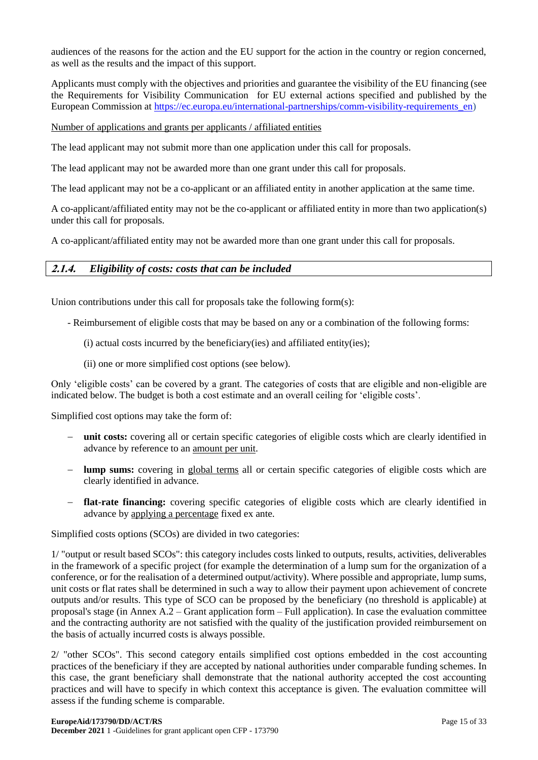audiences of the reasons for the action and the EU support for the action in the country or region concerned, as well as the results and the impact of this support.

Applicants must comply with the objectives and priorities and guarantee the visibility of the EU financing (see the Requirements for Visibility Communication for EU external actions specified and published by the European Commission at https://ec.europa.eu/international-partnerships/comm-visibility-requirements en)

#### Number of applications and grants per applicants / affiliated entities

The lead applicant may not submit more than one application under this call for proposals.

The lead applicant may not be awarded more than one grant under this call for proposals.

The lead applicant may not be a co-applicant or an affiliated entity in another application at the same time.

A co-applicant/affiliated entity may not be the co-applicant or affiliated entity in more than two application(s) under this call for proposals.

A co-applicant/affiliated entity may not be awarded more than one grant under this call for proposals.

# <span id="page-14-0"></span>**2.1.4.** *Eligibility of costs: costs that can be included*

Union contributions under this call for proposals take the following form(s):

- Reimbursement of eligible costs that may be based on any or a combination of the following forms:
	- (i) actual costs incurred by the beneficiary(ies) and affiliated entity(ies);
	- (ii) one or more simplified cost options (see below).

Only 'eligible costs' can be covered by a grant. The categories of costs that are eligible and non-eligible are indicated below. The budget is both a cost estimate and an overall ceiling for 'eligible costs'.

Simplified cost options may take the form of:

- **unit costs:** covering all or certain specific categories of eligible costs which are clearly identified in advance by reference to an amount per unit.
- **lump sums:** covering in global terms all or certain specific categories of eligible costs which are clearly identified in advance.
- **flat-rate financing:** covering specific categories of eligible costs which are clearly identified in advance by applying a percentage fixed ex ante.

Simplified costs options (SCOs) are divided in two categories:

1/ "output or result based SCOs": this category includes costs linked to outputs, results, activities, deliverables in the framework of a specific project (for example the determination of a lump sum for the organization of a conference, or for the realisation of a determined output/activity). Where possible and appropriate, lump sums, unit costs or flat rates shall be determined in such a way to allow their payment upon achievement of concrete outputs and/or results. This type of SCO can be proposed by the beneficiary (no threshold is applicable) at proposal's stage (in Annex A.2 – Grant application form – Full application). In case the evaluation committee and the contracting authority are not satisfied with the quality of the justification provided reimbursement on the basis of actually incurred costs is always possible.

2/ "other SCOs". This second category entails simplified cost options embedded in the cost accounting practices of the beneficiary if they are accepted by national authorities under comparable funding schemes. In this case, the grant beneficiary shall demonstrate that the national authority accepted the cost accounting practices and will have to specify in which context this acceptance is given. The evaluation committee will assess if the funding scheme is comparable.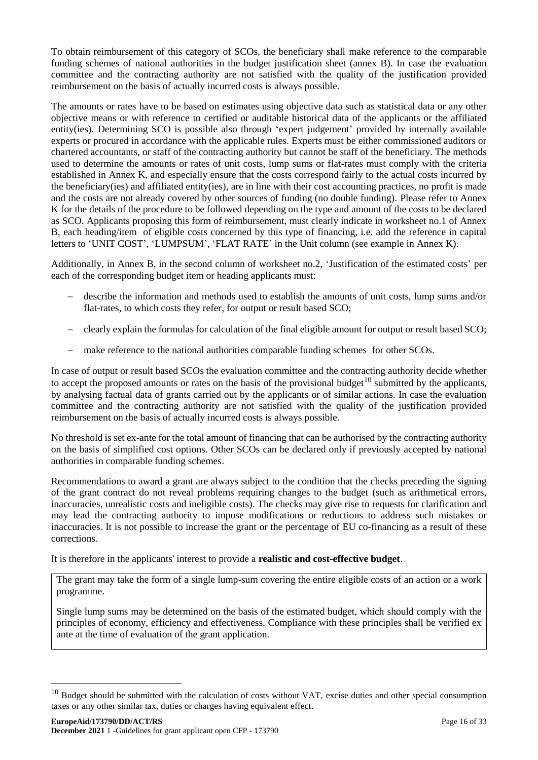To obtain reimbursement of this category of SCOs, the beneficiary shall make reference to the comparable funding schemes of national authorities in the budget justification sheet (annex B). In case the evaluation committee and the contracting authority are not satisfied with the quality of the justification provided reimbursement on the basis of actually incurred costs is always possible.

The amounts or rates have to be based on estimates using objective data such as statistical data or any other objective means or with reference to certified or auditable historical data of the applicants or the affiliated entity(ies). Determining SCO is possible also through 'expert judgement' provided by internally available experts or procured in accordance with the applicable rules. Experts must be either commissioned auditors or chartered accountants, or staff of the contracting authority but cannot be staff of the beneficiary. The methods used to determine the amounts or rates of unit costs, lump sums or flat-rates must comply with the criteria established in Annex K, and especially ensure that the costs correspond fairly to the actual costs incurred by the beneficiary(ies) and affiliated entity(ies), are in line with their cost accounting practices, no profit is made and the costs are not already covered by other sources of funding (no double funding). Please refer to Annex K for the details of the procedure to be followed depending on the type and amount of the costs to be declared as SCO. Applicants proposing this form of reimbursement, must clearly indicate in worksheet no.1 of Annex B, each heading/item of eligible costs concerned by this type of financing, i.e. add the reference in capital letters to 'UNIT COST', 'LUMPSUM', 'FLAT RATE' in the Unit column (see example in Annex K).

Additionally, in Annex B, in the second column of worksheet no.2, 'Justification of the estimated costs' per each of the corresponding budget item or heading applicants must:

- describe the information and methods used to establish the amounts of unit costs, lump sums and/or flat-rates, to which costs they refer, for output or result based SCO;
- clearly explain the formulas for calculation of the final eligible amount for output or result based SCO;
- make reference to the national authorities comparable funding schemes for other SCOs.

In case of output or result based SCOs the evaluation committee and the contracting authority decide whether to accept the proposed amounts or rates on the basis of the provisional budget<sup>10</sup> submitted by the applicants. by analysing factual data of grants carried out by the applicants or of similar actions. In case the evaluation committee and the contracting authority are not satisfied with the quality of the justification provided reimbursement on the basis of actually incurred costs is always possible.

No threshold is set ex-ante for the total amount of financing that can be authorised by the contracting authority on the basis of simplified cost options. Other SCOs can be declared only if previously accepted by national authorities in comparable funding schemes.

Recommendations to award a grant are always subject to the condition that the checks preceding the signing of the grant contract do not reveal problems requiring changes to the budget (such as arithmetical errors, inaccuracies, unrealistic costs and ineligible costs). The checks may give rise to requests for clarification and may lead the contracting authority to impose modifications or reductions to address such mistakes or inaccuracies. It is not possible to increase the grant or the percentage of EU co-financing as a result of these corrections.

It is therefore in the applicants' interest to provide a **realistic and cost-effective budget**.

The grant may take the form of a single lump-sum covering the entire eligible costs of an action or a work programme.

Single lump sums may be determined on the basis of the estimated budget, which should comply with the principles of economy, efficiency and effectiveness. Compliance with these principles shall be verified ex ante at the time of evaluation of the grant application.

-

 $10$  Budget should be submitted with the calculation of costs without VAT, excise duties and other special consumption taxes or any other similar tax, duties or charges having equivalent effect.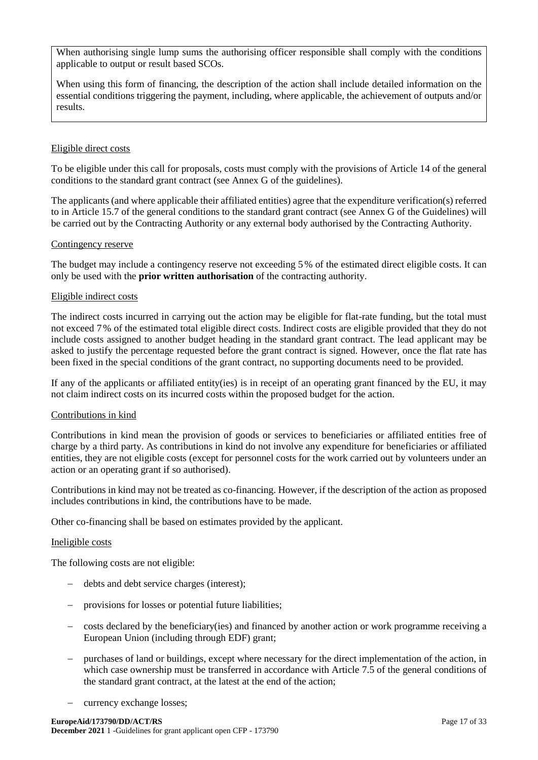When authorising single lump sums the authorising officer responsible shall comply with the conditions applicable to output or result based SCOs.

When using this form of financing, the description of the action shall include detailed information on the essential conditions triggering the payment, including, where applicable, the achievement of outputs and/or results.

#### Eligible direct costs

To be eligible under this call for proposals, costs must comply with the provisions of Article 14 of the general conditions to the standard grant contract (see Annex G of the guidelines).

The applicants (and where applicable their affiliated entities) agree that the expenditure verification(s) referred to in Article 15.7 of the general conditions to the standard grant contract (see Annex G of the Guidelines) will be carried out by the Contracting Authority or any external body authorised by the Contracting Authority.

### Contingency reserve

The budget may include a contingency reserve not exceeding 5% of the estimated direct eligible costs. It can only be used with the **prior written authorisation** of the contracting authority.

### Eligible indirect costs

The indirect costs incurred in carrying out the action may be eligible for flat-rate funding, but the total must not exceed 7% of the estimated total eligible direct costs. Indirect costs are eligible provided that they do not include costs assigned to another budget heading in the standard grant contract. The lead applicant may be asked to justify the percentage requested before the grant contract is signed. However, once the flat rate has been fixed in the special conditions of the grant contract, no supporting documents need to be provided.

If any of the applicants or affiliated entity(ies) is in receipt of an operating grant financed by the EU, it may not claim indirect costs on its incurred costs within the proposed budget for the action.

#### Contributions in kind

Contributions in kind mean the provision of goods or services to beneficiaries or affiliated entities free of charge by a third party. As contributions in kind do not involve any expenditure for beneficiaries or affiliated entities, they are not eligible costs (except for personnel costs for the work carried out by volunteers under an action or an operating grant if so authorised).

Contributions in kind may not be treated as co-financing. However, if the description of the action as proposed includes contributions in kind, the contributions have to be made.

Other co-financing shall be based on estimates provided by the applicant.

#### Ineligible costs

The following costs are not eligible:

- debts and debt service charges (interest);
- provisions for losses or potential future liabilities;
- costs declared by the beneficiary(ies) and financed by another action or work programme receiving a European Union (including through EDF) grant;
- purchases of land or buildings, except where necessary for the direct implementation of the action, in which case ownership must be transferred in accordance with Article 7.5 of the general conditions of the standard grant contract, at the latest at the end of the action;
- currency exchange losses;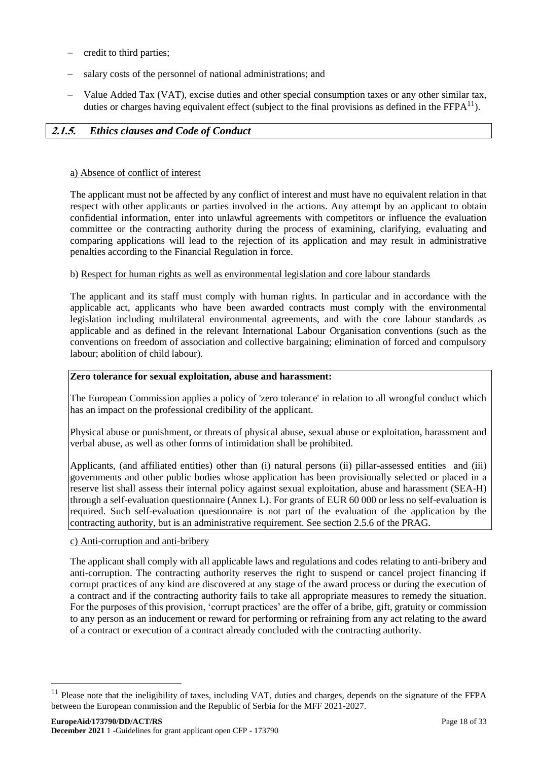- credit to third parties;
- salary costs of the personnel of national administrations; and
- Value Added Tax (VAT), excise duties and other special consumption taxes or any other similar tax, duties or charges having equivalent effect (subject to the final provisions as defined in the  $\text{FFPA}^{11}$ ).

### <span id="page-17-0"></span>**2.1.5.** *Ethics clauses and Code of Conduct*

#### a) Absence of conflict of interest

The applicant must not be affected by any conflict of interest and must have no equivalent relation in that respect with other applicants or parties involved in the actions. Any attempt by an applicant to obtain confidential information, enter into unlawful agreements with competitors or influence the evaluation committee or the contracting authority during the process of examining, clarifying, evaluating and comparing applications will lead to the rejection of its application and may result in administrative penalties according to the Financial Regulation in force.

#### b) Respect for human rights as well as environmental legislation and core labour standards

The applicant and its staff must comply with human rights. In particular and in accordance with the applicable act, applicants who have been awarded contracts must comply with the environmental legislation including multilateral environmental agreements, and with the core labour standards as applicable and as defined in the relevant International Labour Organisation conventions (such as the conventions on freedom of association and collective bargaining; elimination of forced and compulsory labour; abolition of child labour).

#### **Zero tolerance for sexual exploitation, abuse and harassment:**

The European Commission applies a policy of 'zero tolerance' in relation to all wrongful conduct which has an impact on the professional credibility of the applicant.

Physical abuse or punishment, or threats of physical abuse, sexual abuse or exploitation, harassment and verbal abuse, as well as other forms of intimidation shall be prohibited.

Applicants, (and affiliated entities) other than (i) natural persons (ii) pillar-assessed entities and (iii) governments and other public bodies whose application has been provisionally selected or placed in a reserve list shall assess their internal policy against sexual exploitation, abuse and harassment (SEA-H) through a self-evaluation questionnaire (Annex L). For grants of EUR 60 000 or less no self-evaluation is required. Such self-evaluation questionnaire is not part of the evaluation of the application by the contracting authority, but is an administrative requirement. See section 2.5.6 of the PRAG.

#### c) Anti-corruption and anti-bribery

-

The applicant shall comply with all applicable laws and regulations and codes relating to anti-bribery and anti-corruption. The contracting authority reserves the right to suspend or cancel project financing if corrupt practices of any kind are discovered at any stage of the award process or during the execution of a contract and if the contracting authority fails to take all appropriate measures to remedy the situation. For the purposes of this provision, 'corrupt practices' are the offer of a bribe, gift, gratuity or commission to any person as an inducement or reward for performing or refraining from any act relating to the award of a contract or execution of a contract already concluded with the contracting authority.

<sup>&</sup>lt;sup>11</sup> Please note that the ineligibility of taxes, including VAT, duties and charges, depends on the signature of the FFPA between the European commission and the Republic of Serbia for the MFF 2021-2027.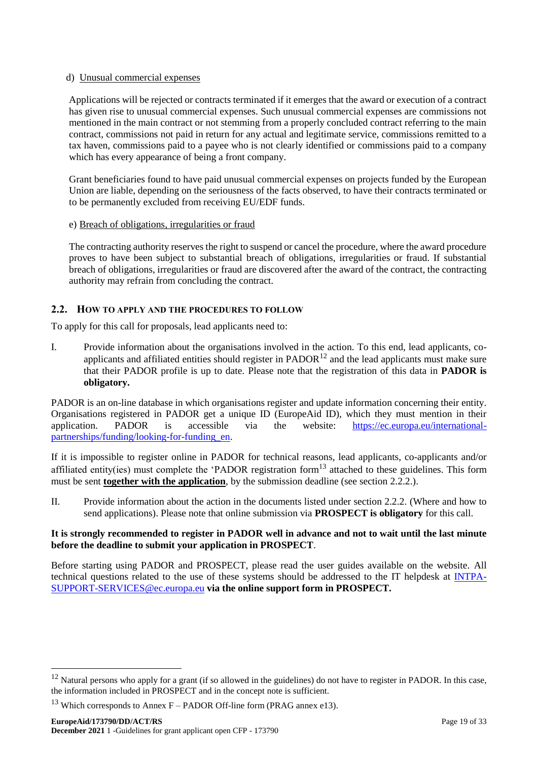### d) Unusual commercial expenses

Applications will be rejected or contracts terminated if it emerges that the award or execution of a contract has given rise to unusual commercial expenses. Such unusual commercial expenses are commissions not mentioned in the main contract or not stemming from a properly concluded contract referring to the main contract, commissions not paid in return for any actual and legitimate service, commissions remitted to a tax haven, commissions paid to a payee who is not clearly identified or commissions paid to a company which has every appearance of being a front company.

Grant beneficiaries found to have paid unusual commercial expenses on projects funded by the European Union are liable, depending on the seriousness of the facts observed, to have their contracts terminated or to be permanently excluded from receiving EU/EDF funds.

### e) Breach of obligations, irregularities or fraud

The contracting authority reserves the right to suspend or cancel the procedure, where the award procedure proves to have been subject to substantial breach of obligations, irregularities or fraud. If substantial breach of obligations, irregularities or fraud are discovered after the award of the contract, the contracting authority may refrain from concluding the contract.

# <span id="page-18-0"></span>**2.2. HOW TO APPLY AND THE PROCEDURES TO FOLLOW**

To apply for this call for proposals, lead applicants need to:

I. Provide information about the organisations involved in the action. To this end, lead applicants, coapplicants and affiliated entities should register in  $PADOR<sup>12</sup>$  and the lead applicants must make sure that their PADOR profile is up to date. Please note that the registration of this data in **PADOR is obligatory.** 

PADOR is an on-line database in which organisations register and update information concerning their entity. Organisations registered in PADOR get a unique ID (EuropeAid ID), which they must mention in their application. PADOR is accessible via the website: [https://ec.europa.eu/international](https://ec.europa.eu/international-partnerships/funding/looking-for-funding_en)[partnerships/funding/looking-for-funding\\_en.](https://ec.europa.eu/international-partnerships/funding/looking-for-funding_en)

If it is impossible to register online in PADOR for technical reasons, lead applicants, co-applicants and/or affiliated entity(ies) must complete the 'PADOR registration form<sup>13</sup> attached to these guidelines. This form must be sent **together with the application**, by the submission deadline (see section 2.2.2.).

II. Provide information about the action in the documents listed under section 2.2.2. (Where and how to send applications). Please note that online submission via **PROSPECT is obligatory** for this call.

#### **It is strongly recommended to register in PADOR well in advance and not to wait until the last minute before the deadline to submit your application in PROSPECT**.

Before starting using PADOR and PROSPECT, please read the user guides available on the website. All technical questions related to the use of these systems should be addressed to the IT helpdesk at [INTPA-](mailto:INTPA-SUPPORT-SERVICES@ec.europa.eu)[SUPPORT-SERVICES@ec.europa.eu](mailto:INTPA-SUPPORT-SERVICES@ec.europa.eu) **via the online support form in PROSPECT.**

-

<sup>&</sup>lt;sup>12</sup> Natural persons who apply for a grant (if so allowed in the guidelines) do not have to register in PADOR. In this case, the information included in PROSPECT and in the concept note is sufficient.

<sup>&</sup>lt;sup>13</sup> Which corresponds to Annex F – PADOR Off-line form (PRAG annex e13).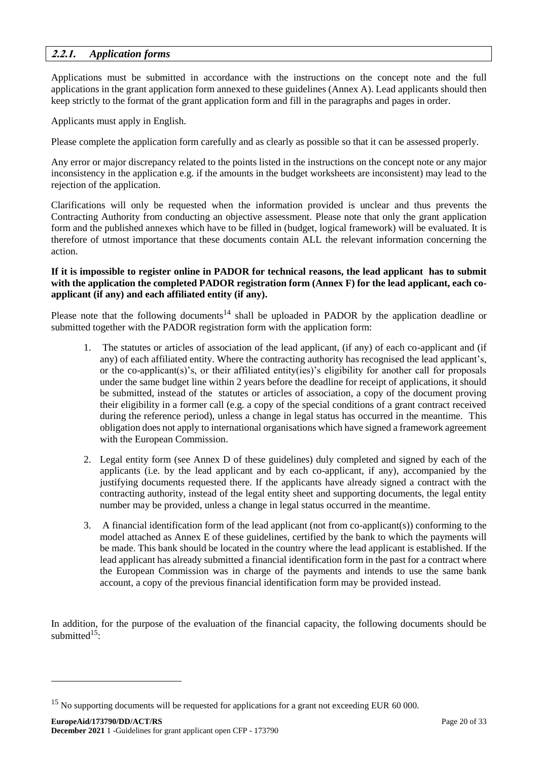# <span id="page-19-0"></span>**2.2.1.** *Application forms*

Applications must be submitted in accordance with the instructions on the concept note and the full applications in the grant application form annexed to these guidelines (Annex A). Lead applicants should then keep strictly to the format of the grant application form and fill in the paragraphs and pages in order.

Applicants must apply in English.

Please complete the application form carefully and as clearly as possible so that it can be assessed properly.

Any error or major discrepancy related to the points listed in the instructions on the concept note or any major inconsistency in the application e.g. if the amounts in the budget worksheets are inconsistent) may lead to the rejection of the application.

Clarifications will only be requested when the information provided is unclear and thus prevents the Contracting Authority from conducting an objective assessment. Please note that only the grant application form and the published annexes which have to be filled in (budget, logical framework) will be evaluated. It is therefore of utmost importance that these documents contain ALL the relevant information concerning the action.

#### **If it is impossible to register online in PADOR for technical reasons, the lead applicant has to submit with the application the completed PADOR registration form (Annex F) for the lead applicant, each coapplicant (if any) and each affiliated entity (if any).**

Please note that the following documents<sup>14</sup> shall be uploaded in PADOR by the application deadline or submitted together with the PADOR registration form with the application form:

- 1. The statutes or articles of association of the lead applicant, (if any) of each co-applicant and (if any) of each affiliated entity. Where the contracting authority has recognised the lead applicant's, or the co-applicant(s)'s, or their affiliated entity(ies)'s eligibility for another call for proposals under the same budget line within 2 years before the deadline for receipt of applications, it should be submitted, instead of the statutes or articles of association, a copy of the document proving their eligibility in a former call (e.g. a copy of the special conditions of a grant contract received during the reference period), unless a change in legal status has occurred in the meantime. This obligation does not apply to international organisations which have signed a framework agreement with the European Commission.
- 2. Legal entity form (see Annex D of these guidelines) duly completed and signed by each of the applicants (i.e. by the lead applicant and by each co-applicant, if any), accompanied by the justifying documents requested there. If the applicants have already signed a contract with the contracting authority, instead of the legal entity sheet and supporting documents, the legal entity number may be provided, unless a change in legal status occurred in the meantime.
- 3. A financial identification form of the lead applicant (not from co-applicant(s)) conforming to the model attached as Annex E of these guidelines, certified by the bank to which the payments will be made. This bank should be located in the country where the lead applicant is established. If the lead applicant has already submitted a financial identification form in the past for a contract where the European Commission was in charge of the payments and intends to use the same bank account, a copy of the previous financial identification form may be provided instead.

In addition, for the purpose of the evaluation of the financial capacity, the following documents should be submitted $15$ .

-

<sup>&</sup>lt;sup>15</sup> No supporting documents will be requested for applications for a grant not exceeding EUR 60 000.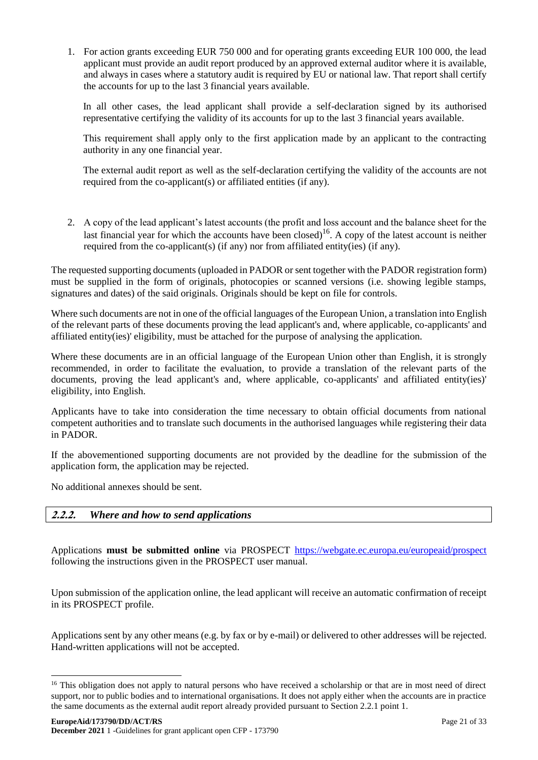1. For action grants exceeding EUR 750 000 and for operating grants exceeding EUR 100 000, the lead applicant must provide an audit report produced by an approved external auditor where it is available, and always in cases where a statutory audit is required by EU or national law. That report shall certify the accounts for up to the last 3 financial years available.

In all other cases, the lead applicant shall provide a self-declaration signed by its authorised representative certifying the validity of its accounts for up to the last 3 financial years available.

This requirement shall apply only to the first application made by an applicant to the contracting authority in any one financial year.

The external audit report as well as the self-declaration certifying the validity of the accounts are not required from the co-applicant(s) or affiliated entities (if any).

2. A copy of the lead applicant's latest accounts (the profit and loss account and the balance sheet for the last financial year for which the accounts have been closed)<sup>16</sup>. A copy of the latest account is neither required from the co-applicant(s) (if any) nor from affiliated entity(ies) (if any).

The requested supporting documents (uploaded in PADOR or sent together with the PADOR registration form) must be supplied in the form of originals, photocopies or scanned versions (i.e. showing legible stamps, signatures and dates) of the said originals. Originals should be kept on file for controls.

Where such documents are not in one of the official languages of the European Union, a translation into English of the relevant parts of these documents proving the lead applicant's and, where applicable, co-applicants' and affiliated entity(ies)' eligibility, must be attached for the purpose of analysing the application.

Where these documents are in an official language of the European Union other than English, it is strongly recommended, in order to facilitate the evaluation, to provide a translation of the relevant parts of the documents, proving the lead applicant's and, where applicable, co-applicants' and affiliated entity(ies)' eligibility, into English.

Applicants have to take into consideration the time necessary to obtain official documents from national competent authorities and to translate such documents in the authorised languages while registering their data in PADOR.

If the abovementioned supporting documents are not provided by the deadline for the submission of the application form, the application may be rejected.

No additional annexes should be sent.

1

# <span id="page-20-0"></span>**2.2.2.** *Where and how to send applications*

Applications **must be submitted online** via PROSPECT <https://webgate.ec.europa.eu/europeaid/prospect> following the instructions given in the PROSPECT user manual.

Upon submission of the application online, the lead applicant will receive an automatic confirmation of receipt in its PROSPECT profile.

Applications sent by any other means (e.g. by fax or by e-mail) or delivered to other addresses will be rejected. Hand-written applications will not be accepted.

<sup>&</sup>lt;sup>16</sup> This obligation does not apply to natural persons who have received a scholarship or that are in most need of direct support, nor to public bodies and to international organisations. It does not apply either when the accounts are in practice the same documents as the external audit report already provided pursuant to Section 2.2.1 point 1.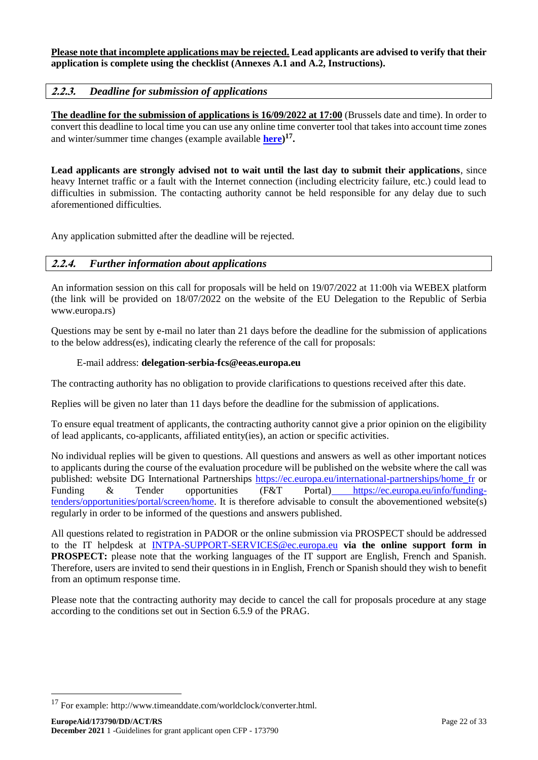#### **Please note that incomplete applications may be rejected. Lead applicants are advised to verify that their application is complete using the checklist (Annexes A.1 and A.2, Instructions).**

# <span id="page-21-0"></span>**2.2.3.** *Deadline for submission of applications*

**The deadline for the submission of applications is 16/09/2022 at 17:00** (Brussels date and time). In order to convert this deadline to local time you can use any online time converter tool that takes into account time zones and winter/summer time changes (example available **[here\)](http://www.timeanddate.com/worldclock/converter.html) 17 .** 

**Lead applicants are strongly advised not to wait until the last day to submit their applications**, since heavy Internet traffic or a fault with the Internet connection (including electricity failure, etc.) could lead to difficulties in submission. The contacting authority cannot be held responsible for any delay due to such aforementioned difficulties.

Any application submitted after the deadline will be rejected.

### <span id="page-21-1"></span>**2.2.4.** *Further information about applications*

An information session on this call for proposals will be held on 19/07/2022 at 11:00h via WEBEX platform (the link will be provided on 18/07/2022 on the website of the EU Delegation to the Republic of Serbia www.europa.rs)

Questions may be sent by e-mail no later than 21 days before the deadline for the submission of applications to the below address(es), indicating clearly the reference of the call for proposals:

#### E-mail address: **delegation-serbia-fcs@eeas.europa.eu**

The contracting authority has no obligation to provide clarifications to questions received after this date.

Replies will be given no later than 11 days before the deadline for the submission of applications.

To ensure equal treatment of applicants, the contracting authority cannot give a prior opinion on the eligibility of lead applicants, co-applicants, affiliated entity(ies), an action or specific activities.

No individual replies will be given to questions. All questions and answers as well as other important notices to applicants during the course of the evaluation procedure will be published on the website where the call was published: website DG International Partnerships [https://ec.europa.eu/international-partnerships/home\\_fr](https://ec.europa.eu/international-partnerships/home_fr) or Funding & Tender opportunities (F&T Portal) [https://ec.europa.eu/info/funding](https://ec.europa.eu/info/funding-tenders/opportunities/portal/screen/home)[tenders/opportunities/portal/screen/home.](https://ec.europa.eu/info/funding-tenders/opportunities/portal/screen/home) It is therefore advisable to consult the abovementioned website(s) regularly in order to be informed of the questions and answers published.

All questions related to registration in PADOR or the online submission via PROSPECT should be addressed to the IT helpdesk at [INTPA-SUPPORT-SERVICES@ec.europa.eu](mailto:INTPA-SUPPORT-SERVICES@ec.europa.eu) **via the online support form in PROSPECT:** please note that the working languages of the IT support are English, French and Spanish. Therefore, users are invited to send their questions in in English, French or Spanish should they wish to benefit from an optimum response time.

Please note that the contracting authority may decide to cancel the call for proposals procedure at any stage according to the conditions set out in Section 6.5.9 of the PRAG.

1

<sup>17</sup> For example: http://www.timeanddate.com/worldclock/converter.html.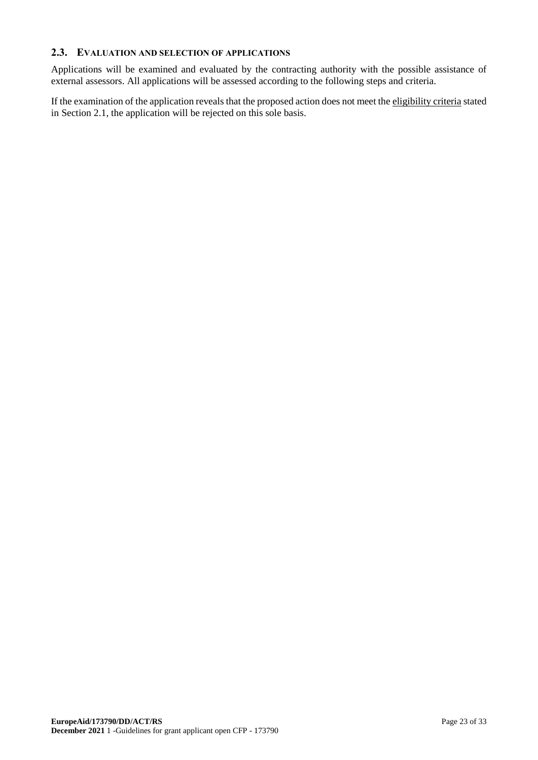### <span id="page-22-0"></span>**2.3. EVALUATION AND SELECTION OF APPLICATIONS**

Applications will be examined and evaluated by the contracting authority with the possible assistance of external assessors. All applications will be assessed according to the following steps and criteria.

If the examination of the application reveals that the proposed action does not meet the eligibility criteria stated in Section 2.1, the application will be rejected on this sole basis.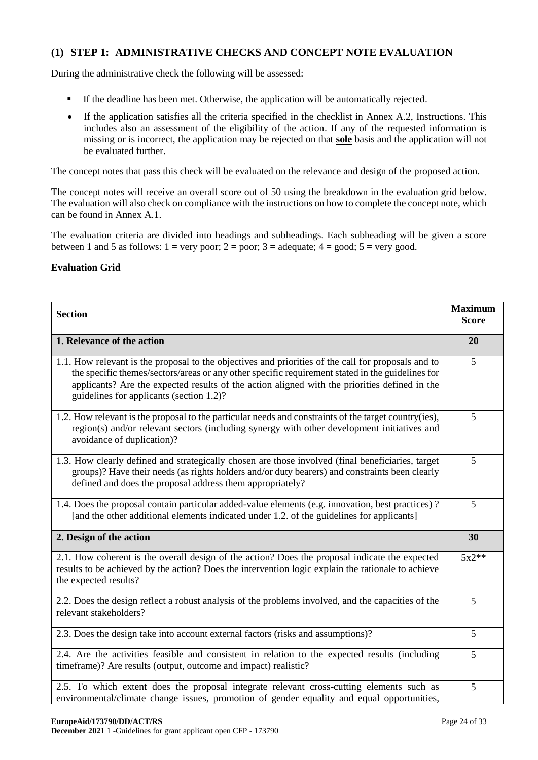# **(1) STEP 1: ADMINISTRATIVE CHECKS AND CONCEPT NOTE EVALUATION**

During the administrative check the following will be assessed:

- If the deadline has been met. Otherwise, the application will be automatically rejected.
- If the application satisfies all the criteria specified in the checklist in Annex A.2, Instructions. This includes also an assessment of the eligibility of the action. If any of the requested information is missing or is incorrect, the application may be rejected on that **sole** basis and the application will not be evaluated further.

The concept notes that pass this check will be evaluated on the relevance and design of the proposed action.

The concept notes will receive an overall score out of 50 using the breakdown in the evaluation grid below. The evaluation will also check on compliance with the instructions on how to complete the concept note, which can be found in Annex A.1.

The evaluation criteria are divided into headings and subheadings. Each subheading will be given a score between 1 and 5 as follows:  $1 = \text{very poor}$ ;  $2 = \text{poor}$ ;  $3 = \text{adequate}$ ;  $4 = \text{good}$ ;  $5 = \text{very good}$ .

### **Evaluation Grid**

| <b>Section</b>                                                                                                                                                                                                                                                                                                                                       | <b>Maximum</b><br><b>Score</b> |
|------------------------------------------------------------------------------------------------------------------------------------------------------------------------------------------------------------------------------------------------------------------------------------------------------------------------------------------------------|--------------------------------|
| 1. Relevance of the action                                                                                                                                                                                                                                                                                                                           | 20                             |
| 1.1. How relevant is the proposal to the objectives and priorities of the call for proposals and to<br>the specific themes/sectors/areas or any other specific requirement stated in the guidelines for<br>applicants? Are the expected results of the action aligned with the priorities defined in the<br>guidelines for applicants (section 1.2)? | 5                              |
| 1.2. How relevant is the proposal to the particular needs and constraints of the target country(ies),<br>region(s) and/or relevant sectors (including synergy with other development initiatives and<br>avoidance of duplication)?                                                                                                                   | 5                              |
| 1.3. How clearly defined and strategically chosen are those involved (final beneficiaries, target<br>groups)? Have their needs (as rights holders and/or duty bearers) and constraints been clearly<br>defined and does the proposal address them appropriately?                                                                                     | 5                              |
| 1.4. Does the proposal contain particular added-value elements (e.g. innovation, best practices)?<br>[and the other additional elements indicated under 1.2, of the guidelines for applicants]                                                                                                                                                       | 5                              |
| 2. Design of the action                                                                                                                                                                                                                                                                                                                              | 30                             |
| 2.1. How coherent is the overall design of the action? Does the proposal indicate the expected<br>results to be achieved by the action? Does the intervention logic explain the rationale to achieve<br>the expected results?                                                                                                                        | $5x2**$                        |
| 2.2. Does the design reflect a robust analysis of the problems involved, and the capacities of the<br>relevant stakeholders?                                                                                                                                                                                                                         | 5                              |
| 2.3. Does the design take into account external factors (risks and assumptions)?                                                                                                                                                                                                                                                                     | 5                              |
| 2.4. Are the activities feasible and consistent in relation to the expected results (including<br>timeframe)? Are results (output, outcome and impact) realistic?                                                                                                                                                                                    | 5                              |
| 2.5. To which extent does the proposal integrate relevant cross-cutting elements such as<br>environmental/climate change issues, promotion of gender equality and equal opportunities,                                                                                                                                                               | 5                              |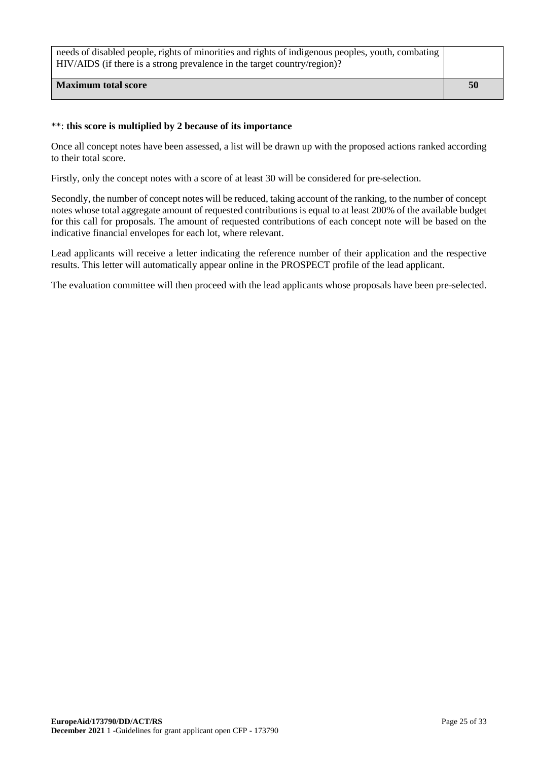| needs of disabled people, rights of minorities and rights of indigenous peoples, youth, combating<br>HIV/AIDS (if there is a strong prevalence in the target country/region)? |    |
|-------------------------------------------------------------------------------------------------------------------------------------------------------------------------------|----|
| <b>Maximum total score</b>                                                                                                                                                    | 50 |

# \*\*: **this score is multiplied by 2 because of its importance**

Once all concept notes have been assessed, a list will be drawn up with the proposed actions ranked according to their total score.

Firstly, only the concept notes with a score of at least 30 will be considered for pre-selection.

Secondly, the number of concept notes will be reduced, taking account of the ranking, to the number of concept notes whose total aggregate amount of requested contributions is equal to at least 200% of the available budget for this call for proposals. The amount of requested contributions of each concept note will be based on the indicative financial envelopes for each lot, where relevant.

Lead applicants will receive a letter indicating the reference number of their application and the respective results. This letter will automatically appear online in the PROSPECT profile of the lead applicant.

The evaluation committee will then proceed with the lead applicants whose proposals have been pre-selected.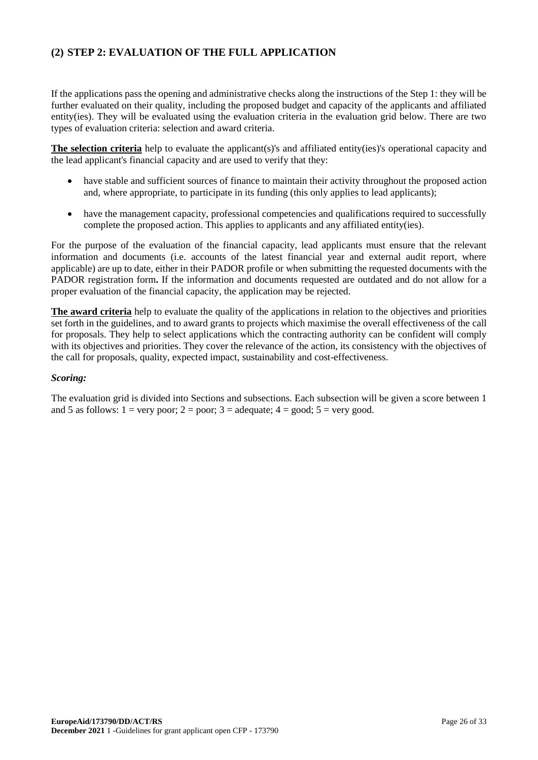# **(2) STEP 2: EVALUATION OF THE FULL APPLICATION**

If the applications pass the opening and administrative checks along the instructions of the Step 1: they will be further evaluated on their quality, including the proposed budget and capacity of the applicants and affiliated entity(ies). They will be evaluated using the evaluation criteria in the evaluation grid below. There are two types of evaluation criteria: selection and award criteria.

**The selection criteria** help to evaluate the applicant(s)'s and affiliated entity(ies)'s operational capacity and the lead applicant's financial capacity and are used to verify that they:

- have stable and sufficient sources of finance to maintain their activity throughout the proposed action and, where appropriate, to participate in its funding (this only applies to lead applicants);
- have the management capacity, professional competencies and qualifications required to successfully complete the proposed action. This applies to applicants and any affiliated entity(ies).

For the purpose of the evaluation of the financial capacity, lead applicants must ensure that the relevant information and documents (i.e. accounts of the latest financial year and external audit report, where applicable) are up to date, either in their PADOR profile or when submitting the requested documents with the PADOR registration form**.** If the information and documents requested are outdated and do not allow for a proper evaluation of the financial capacity, the application may be rejected.

**The award criteria** help to evaluate the quality of the applications in relation to the objectives and priorities set forth in the guidelines, and to award grants to projects which maximise the overall effectiveness of the call for proposals. They help to select applications which the contracting authority can be confident will comply with its objectives and priorities. They cover the relevance of the action, its consistency with the objectives of the call for proposals, quality, expected impact, sustainability and cost-effectiveness.

#### *Scoring:*

The evaluation grid is divided into Sections and subsections. Each subsection will be given a score between 1 and 5 as follows:  $1 = \text{very poor}$ ;  $2 = \text{poor}$ ;  $3 = \text{adequate}$ ;  $4 = \text{good}$ ;  $5 = \text{very good}$ .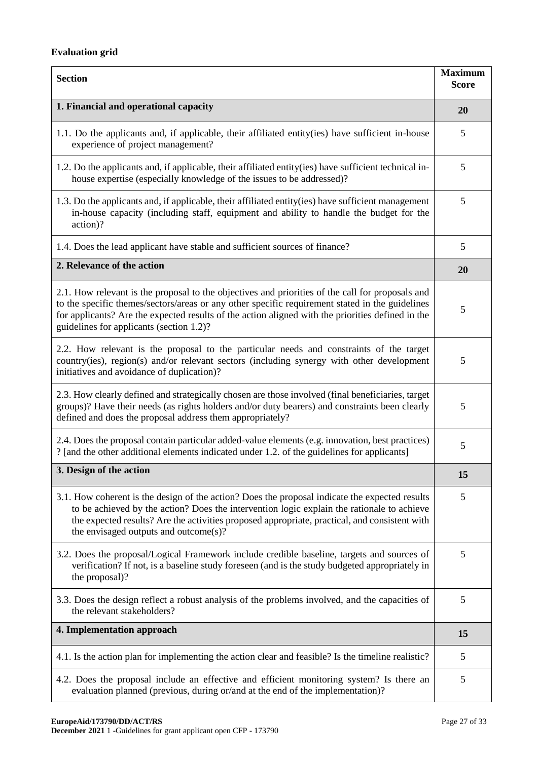# **Evaluation grid**

| <b>Section</b>                                                                                                                                                                                                                                                                                                                                       |    |  |
|------------------------------------------------------------------------------------------------------------------------------------------------------------------------------------------------------------------------------------------------------------------------------------------------------------------------------------------------------|----|--|
| 1. Financial and operational capacity                                                                                                                                                                                                                                                                                                                |    |  |
| 1.1. Do the applicants and, if applicable, their affiliated entity(ies) have sufficient in-house<br>experience of project management?                                                                                                                                                                                                                | 5  |  |
| 1.2. Do the applicants and, if applicable, their affiliated entity(ies) have sufficient technical in-<br>house expertise (especially knowledge of the issues to be addressed)?                                                                                                                                                                       | 5  |  |
| 1.3. Do the applicants and, if applicable, their affiliated entity (ies) have sufficient management<br>in-house capacity (including staff, equipment and ability to handle the budget for the<br>action)?                                                                                                                                            |    |  |
| 1.4. Does the lead applicant have stable and sufficient sources of finance?                                                                                                                                                                                                                                                                          | 5  |  |
| 2. Relevance of the action                                                                                                                                                                                                                                                                                                                           | 20 |  |
| 2.1. How relevant is the proposal to the objectives and priorities of the call for proposals and<br>to the specific themes/sectors/areas or any other specific requirement stated in the guidelines<br>for applicants? Are the expected results of the action aligned with the priorities defined in the<br>guidelines for applicants (section 1.2)? | 5  |  |
| 2.2. How relevant is the proposal to the particular needs and constraints of the target<br>country(ies), region(s) and/or relevant sectors (including synergy with other development<br>initiatives and avoidance of duplication)?                                                                                                                   | 5  |  |
| 2.3. How clearly defined and strategically chosen are those involved (final beneficiaries, target<br>groups)? Have their needs (as rights holders and/or duty bearers) and constraints been clearly<br>defined and does the proposal address them appropriately?                                                                                     | 5  |  |
| 2.4. Does the proposal contain particular added-value elements (e.g. innovation, best practices)<br>? [and the other additional elements indicated under 1.2. of the guidelines for applicants]                                                                                                                                                      | 5  |  |
| 3. Design of the action                                                                                                                                                                                                                                                                                                                              |    |  |
| 3.1. How coherent is the design of the action? Does the proposal indicate the expected results<br>to be achieved by the action? Does the intervention logic explain the rationale to achieve<br>the expected results? Are the activities proposed appropriate, practical, and consistent with<br>the envisaged outputs and outcome(s)?               | 5  |  |
| 3.2. Does the proposal/Logical Framework include credible baseline, targets and sources of<br>verification? If not, is a baseline study foreseen (and is the study budgeted appropriately in<br>the proposal)?                                                                                                                                       | 5  |  |
| 3.3. Does the design reflect a robust analysis of the problems involved, and the capacities of<br>the relevant stakeholders?                                                                                                                                                                                                                         | 5  |  |
| 4. Implementation approach                                                                                                                                                                                                                                                                                                                           | 15 |  |
| 4.1. Is the action plan for implementing the action clear and feasible? Is the timeline realistic?                                                                                                                                                                                                                                                   | 5  |  |
| 4.2. Does the proposal include an effective and efficient monitoring system? Is there an<br>evaluation planned (previous, during or/and at the end of the implementation)?                                                                                                                                                                           |    |  |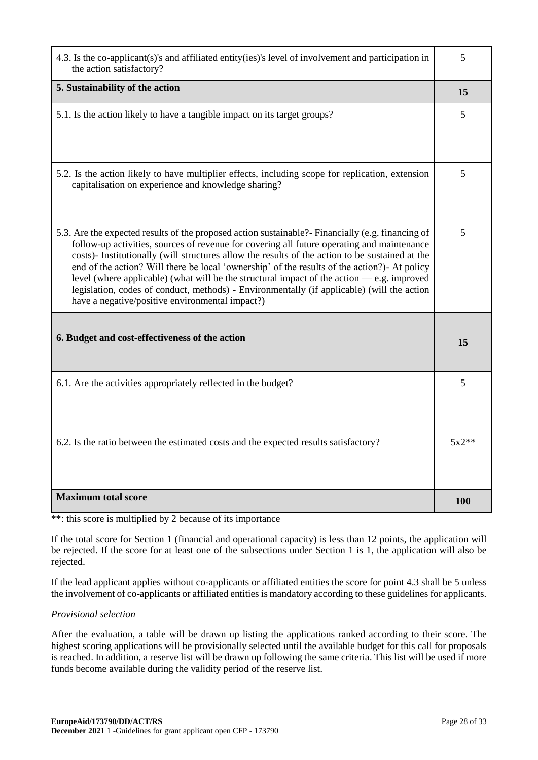| 4.3. Is the co-applicant(s)'s and affiliated entity(ies)'s level of involvement and participation in<br>the action satisfactory?                                                                                                                                                                                                                                                                                                                                                                                                                                                                                                                   |         |  |
|----------------------------------------------------------------------------------------------------------------------------------------------------------------------------------------------------------------------------------------------------------------------------------------------------------------------------------------------------------------------------------------------------------------------------------------------------------------------------------------------------------------------------------------------------------------------------------------------------------------------------------------------------|---------|--|
| 5. Sustainability of the action                                                                                                                                                                                                                                                                                                                                                                                                                                                                                                                                                                                                                    | 15      |  |
| 5.1. Is the action likely to have a tangible impact on its target groups?                                                                                                                                                                                                                                                                                                                                                                                                                                                                                                                                                                          | 5       |  |
| 5.2. Is the action likely to have multiplier effects, including scope for replication, extension<br>capitalisation on experience and knowledge sharing?                                                                                                                                                                                                                                                                                                                                                                                                                                                                                            | 5       |  |
| 5.3. Are the expected results of the proposed action sustainable? Financially (e.g. financing of<br>follow-up activities, sources of revenue for covering all future operating and maintenance<br>costs)- Institutionally (will structures allow the results of the action to be sustained at the<br>end of the action? Will there be local 'ownership' of the results of the action?)- At policy<br>level (where applicable) (what will be the structural impact of the action $-$ e.g. improved<br>legislation, codes of conduct, methods) - Environmentally (if applicable) (will the action<br>have a negative/positive environmental impact?) | 5       |  |
| 6. Budget and cost-effectiveness of the action                                                                                                                                                                                                                                                                                                                                                                                                                                                                                                                                                                                                     |         |  |
| 6.1. Are the activities appropriately reflected in the budget?                                                                                                                                                                                                                                                                                                                                                                                                                                                                                                                                                                                     | 5       |  |
| 6.2. Is the ratio between the estimated costs and the expected results satisfactory?                                                                                                                                                                                                                                                                                                                                                                                                                                                                                                                                                               | $5x2**$ |  |
| <b>Maximum total score</b>                                                                                                                                                                                                                                                                                                                                                                                                                                                                                                                                                                                                                         | 100     |  |

\*\*: this score is multiplied by 2 because of its importance

If the total score for Section 1 (financial and operational capacity) is less than 12 points, the application will be rejected. If the score for at least one of the subsections under Section 1 is 1, the application will also be rejected.

If the lead applicant applies without co-applicants or affiliated entities the score for point 4.3 shall be 5 unless the involvement of co-applicants or affiliated entities is mandatory according to these guidelines for applicants.

*Provisional selection*

After the evaluation, a table will be drawn up listing the applications ranked according to their score. The highest scoring applications will be provisionally selected until the available budget for this call for proposals is reached. In addition, a reserve list will be drawn up following the same criteria. This list will be used if more funds become available during the validity period of the reserve list.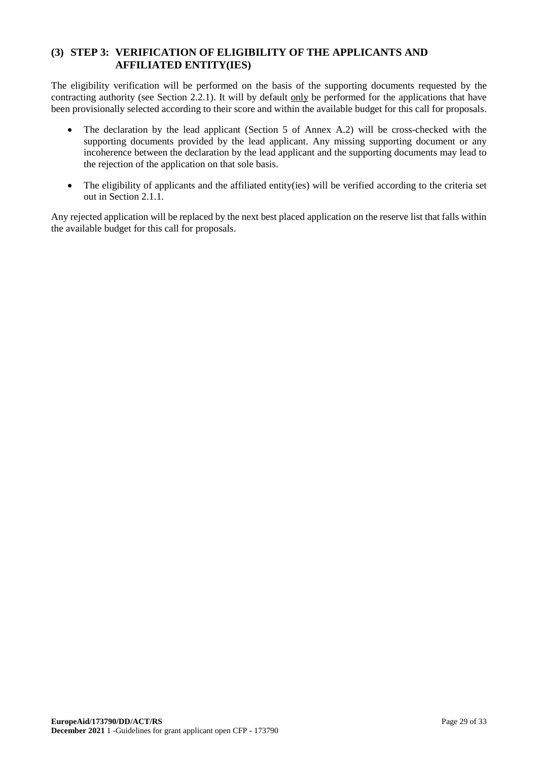# **(3) STEP 3: VERIFICATION OF ELIGIBILITY OF THE APPLICANTS AND AFFILIATED ENTITY(IES)**

The eligibility verification will be performed on the basis of the supporting documents requested by the contracting authority (see Section 2.2.1). It will by default only be performed for the applications that have been provisionally selected according to their score and within the available budget for this call for proposals.

- The declaration by the lead applicant (Section 5 of Annex A.2) will be cross-checked with the supporting documents provided by the lead applicant. Any missing supporting document or any incoherence between the declaration by the lead applicant and the supporting documents may lead to the rejection of the application on that sole basis.
- The eligibility of applicants and the affiliated entity(ies) will be verified according to the criteria set out in Section 2.1.1.

Any rejected application will be replaced by the next best placed application on the reserve list that falls within the available budget for this call for proposals.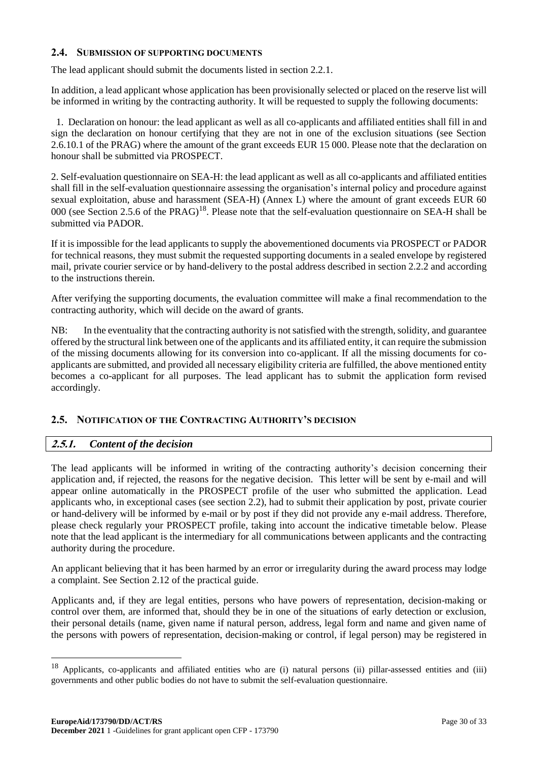### <span id="page-29-0"></span>**2.4. SUBMISSION OF SUPPORTING DOCUMENTS**

The lead applicant should submit the documents listed in section 2.2.1.

In addition, a lead applicant whose application has been provisionally selected or placed on the reserve list will be informed in writing by the contracting authority. It will be requested to supply the following documents:

1. Declaration on honour: the lead applicant as well as all co-applicants and affiliated entities shall fill in and sign the declaration on honour certifying that they are not in one of the exclusion situations (see Section 2.6.10.1 of the PRAG) where the amount of the grant exceeds EUR 15 000. Please note that the declaration on honour shall be submitted via PROSPECT.

2. Self-evaluation questionnaire on SEA-H: the lead applicant as well as all co-applicants and affiliated entities shall fill in the self-evaluation questionnaire assessing the organisation's internal policy and procedure against sexual exploitation, abuse and harassment (SEA-H) (Annex L) where the amount of grant exceeds EUR 60 000 (see Section 2.5.6 of the PRAG)<sup>18</sup>. Please note that the self-evaluation questionnaire on SEA-H shall be submitted via PADOR.

If it is impossible for the lead applicants to supply the abovementioned documents via PROSPECT or PADOR for technical reasons, they must submit the requested supporting documents in a sealed envelope by registered mail, private courier service or by hand-delivery to the postal address described in section 2.2.2 and according to the instructions therein.

After verifying the supporting documents, the evaluation committee will make a final recommendation to the contracting authority, which will decide on the award of grants.

NB: In the eventuality that the contracting authority is not satisfied with the strength, solidity, and guarantee offered by the structural link between one of the applicants and its affiliated entity, it can require the submission of the missing documents allowing for its conversion into co-applicant. If all the missing documents for coapplicants are submitted, and provided all necessary eligibility criteria are fulfilled, the above mentioned entity becomes a co-applicant for all purposes. The lead applicant has to submit the application form revised accordingly.

# <span id="page-29-1"></span>**2.5. NOTIFICATION OF THE CONTRACTING AUTHORITY'S DECISION**

# <span id="page-29-2"></span>**2.5.1.** *Content of the decision*

-

The lead applicants will be informed in writing of the contracting authority's decision concerning their application and, if rejected, the reasons for the negative decision. This letter will be sent by e-mail and will appear online automatically in the PROSPECT profile of the user who submitted the application. Lead applicants who, in exceptional cases (see section 2.2), had to submit their application by post, private courier or hand-delivery will be informed by e-mail or by post if they did not provide any e-mail address. Therefore, please check regularly your PROSPECT profile, taking into account the indicative timetable below. Please note that the lead applicant is the intermediary for all communications between applicants and the contracting authority during the procedure.

An applicant believing that it has been harmed by an error or irregularity during the award process may lodge a complaint. See Section 2.12 of the practical guide.

Applicants and, if they are legal entities, persons who have powers of representation, decision-making or control over them, are informed that, should they be in one of the situations of early detection or exclusion, their personal details (name, given name if natural person, address, legal form and name and given name of the persons with powers of representation, decision-making or control, if legal person) may be registered in

<sup>18</sup> Applicants, co-applicants and affiliated entities who are (i) natural persons (ii) pillar-assessed entities and (iii) governments and other public bodies do not have to submit the self-evaluation questionnaire.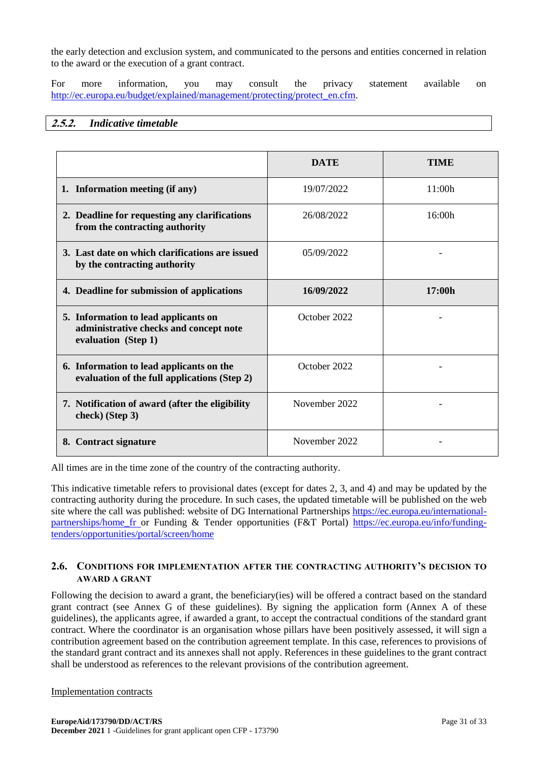the early detection and exclusion system, and communicated to the persons and entities concerned in relation to the award or the execution of a grant contract.

For more information, you may consult the privacy statement available on [http://ec.europa.eu/budget/explained/management/protecting/protect\\_en.cfm.](http://ec.europa.eu/budget/explained/management/protecting/protect_en.cfm)

#### <span id="page-30-0"></span>**2.5.2.** *Indicative timetable*

|                                                                                                       | <b>DATE</b>   | <b>TIME</b> |
|-------------------------------------------------------------------------------------------------------|---------------|-------------|
| 1. Information meeting (if any)                                                                       | 19/07/2022    | 11:00h      |
| 2. Deadline for requesting any clarifications<br>from the contracting authority                       | 26/08/2022    | 16:00h      |
| 3. Last date on which clarifications are issued<br>by the contracting authority                       | 05/09/2022    |             |
| 4. Deadline for submission of applications                                                            | 16/09/2022    | 17:00h      |
| 5. Information to lead applicants on<br>administrative checks and concept note<br>evaluation (Step 1) | October 2022  |             |
| 6. Information to lead applicants on the<br>evaluation of the full applications (Step 2)              | October 2022  |             |
| 7. Notification of award (after the eligibility<br>check) (Step 3)                                    | November 2022 |             |
| 8. Contract signature                                                                                 | November 2022 |             |

All times are in the time zone of the country of the contracting authority.

This indicative timetable refers to provisional dates (except for dates 2, 3, and 4) and may be updated by the contracting authority during the procedure. In such cases, the updated timetable will be published on the web site where the call was published: website of DG International Partnerships [https://ec.europa.eu/international](https://ec.europa.eu/international-partnerships/home_fr)[partnerships/home\\_fr](https://ec.europa.eu/international-partnerships/home_fr) or Funding & Tender opportunities (F&T Portal) [https://ec.europa.eu/info/funding](https://ec.europa.eu/info/funding-tenders/opportunities/portal/screen/home)[tenders/opportunities/portal/screen/home](https://ec.europa.eu/info/funding-tenders/opportunities/portal/screen/home)

### <span id="page-30-1"></span>**2.6. CONDITIONS FOR IMPLEMENTATION AFTER THE CONTRACTING AUTHORITY'S DECISION TO AWARD A GRANT**

Following the decision to award a grant, the beneficiary(ies) will be offered a contract based on the standard grant contract (see Annex G of these guidelines). By signing the application form (Annex A of these guidelines), the applicants agree, if awarded a grant, to accept the contractual conditions of the standard grant contract. Where the coordinator is an organisation whose pillars have been positively assessed, it will sign a contribution agreement based on the contribution agreement template. In this case, references to provisions of the standard grant contract and its annexes shall not apply. References in these guidelines to the grant contract shall be understood as references to the relevant provisions of the contribution agreement.

#### Implementation contracts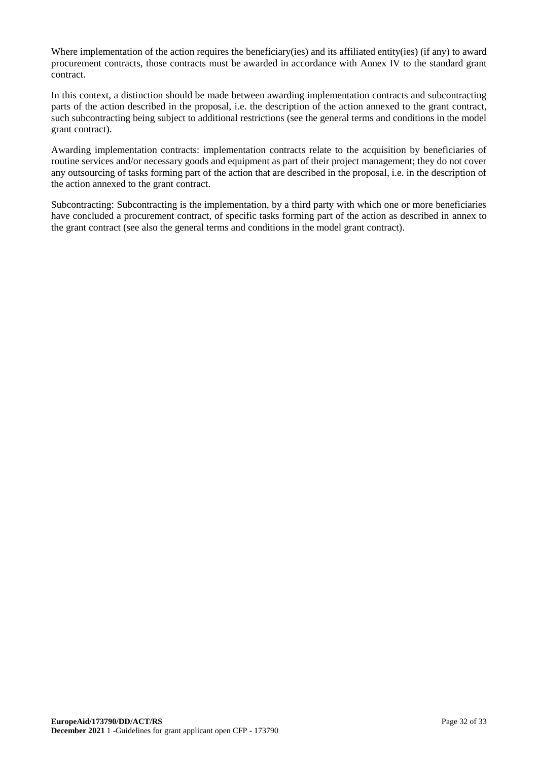Where implementation of the action requires the beneficiary(ies) and its affiliated entity(ies) (if any) to award procurement contracts, those contracts must be awarded in accordance with Annex IV to the standard grant contract.

In this context, a distinction should be made between awarding implementation contracts and subcontracting parts of the action described in the proposal, i.e. the description of the action annexed to the grant contract, such subcontracting being subject to additional restrictions (see the general terms and conditions in the model grant contract).

Awarding implementation contracts: implementation contracts relate to the acquisition by beneficiaries of routine services and/or necessary goods and equipment as part of their project management; they do not cover any outsourcing of tasks forming part of the action that are described in the proposal, i.e. in the description of the action annexed to the grant contract.

Subcontracting: Subcontracting is the implementation, by a third party with which one or more beneficiaries have concluded a procurement contract, of specific tasks forming part of the action as described in annex to the grant contract (see also the general terms and conditions in the model grant contract).